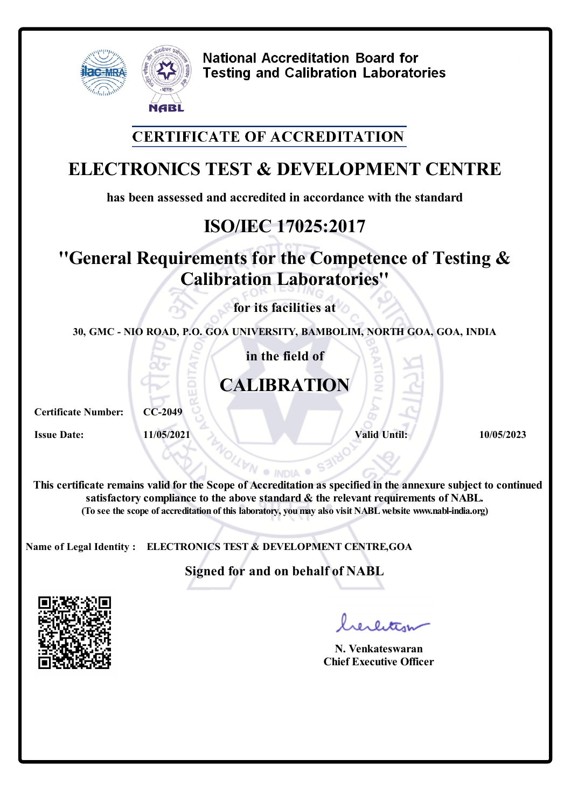

## **CERTIFICATE OF ACCREDITATION**

# **ELECTRONICS TEST & DEVELOPMENT CENTRE**

**has been assessed and accredited in accordance with the standard**

# **ISO/IEC 17025:2017**

## **''General Requirements for the Competence of Testing & Calibration Laboratories''**

**for its facilities at**

**30, GMC - NIO ROAD, P.O. GOA UNIVERSITY, BAMBOLIM, NORTH GOA, GOA, INDIA**

**in the field of**

# **CALIBRATION**

**Certificate Number: CC-2049**

**Issue Date: 11/05/2021 Valid Until: 10/05/2023**

**This certificate remains valid forthe Scope of Accreditation as specified in the annexure subject to continued satisfactory compliance to the above standard & the relevant requirements of NABL. (To see the scope of accreditation of this laboratory, youmay also visit NABLwebsite www.nabl-india.org)**

**NA** 

S312

**Name of Legal Identity : ELECTRONICS TEST & DEVELOPMENT CENTRE,GOA**

**Signed for and on behalf of NABL**



**N. Venkateswaran Chief Executive Officer**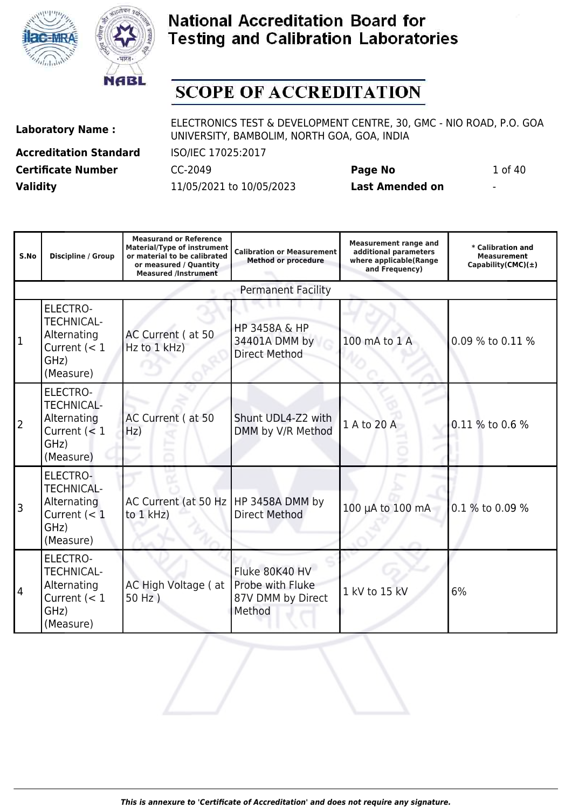



# **SCOPE OF ACCREDITATION**

**Accreditation Standard** ISO/IEC 17025:2017 **Certificate Number** CC-2049 **Page No** 1 of 40 **Validity** 11/05/2021 to 10/05/2023 **Last Amended on** -

| S.No           | <b>Discipline / Group</b>                                                                  | <b>Measurand or Reference</b><br><b>Material/Type of instrument</b><br>or material to be calibrated<br>or measured / Quantity<br><b>Measured /Instrument</b> | <b>Calibration or Measurement</b><br><b>Method or procedure</b>   | <b>Measurement range and</b><br>additional parameters<br>where applicable(Range<br>and Frequency) | * Calibration and<br><b>Measurement</b><br>Capability(CMC) $(\pm)$ |
|----------------|--------------------------------------------------------------------------------------------|--------------------------------------------------------------------------------------------------------------------------------------------------------------|-------------------------------------------------------------------|---------------------------------------------------------------------------------------------------|--------------------------------------------------------------------|
|                |                                                                                            |                                                                                                                                                              | <b>Permanent Facility</b>                                         |                                                                                                   |                                                                    |
| $\mathbf 1$    | <b>ELECTRO-</b><br><b>TECHNICAL-</b><br>Alternating<br>Current $(< 1$<br>GHz)<br>(Measure) | AC Current (at 50<br>$Hz$ to $1$ kHz)                                                                                                                        | <b>HP 3458A &amp; HP</b><br>34401A DMM by<br><b>Direct Method</b> | 100 mA to 1 A                                                                                     | 0.09 % to 0.11 %                                                   |
| $\overline{2}$ | <b>ELECTRO-</b><br><b>TECHNICAL-</b><br>Alternating<br>Current $(< 1$<br>GHz)<br>(Measure) | AC Current (at 50<br>Hz)                                                                                                                                     | Shunt UDL4-Z2 with<br>DMM by V/R Method                           | 1 A to 20 A                                                                                       | 0.11 % to 0.6 %                                                    |
| 3              | ELECTRO-<br><b>TECHNICAL-</b><br>Alternating<br>Current $(< 1$<br>GHz)<br>(Measure)        | AC Current (at 50 Hz   HP 3458A DMM by<br>to $1$ kHz)                                                                                                        | <b>Direct Method</b>                                              | 100 µA to 100 mA                                                                                  | 0.1 % to 0.09 %                                                    |
| $\overline{4}$ | <b>ELECTRO-</b><br><b>TECHNICAL-</b><br>Alternating<br>Current $(< 1$<br>GHz)<br>(Measure) | AC High Voltage (at<br>$50 Hz$ )                                                                                                                             | Fluke 80K40 HV<br>Probe with Fluke<br>87V DMM by Direct<br>Method | 1 kV to 15 kV                                                                                     | 6%                                                                 |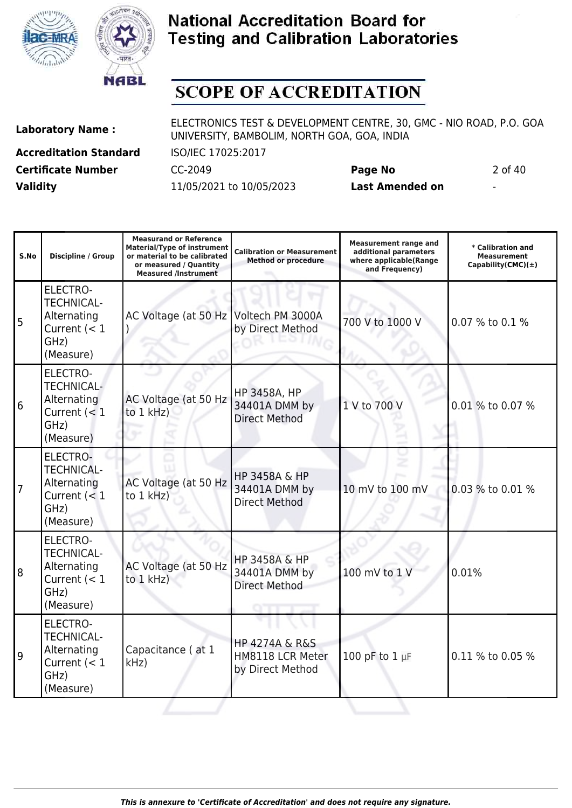



# **SCOPE OF ACCREDITATION**

**Laboratory Name :** ELECTRONICS TEST & DEVELOPMENT CENTRE, 30, GMC - NIO ROAD, P.O. GOA UNIVERSITY, BAMBOLIM, NORTH GOA, GOA, INDIA **Accreditation Standard** ISO/IEC 17025:2017

**Certificate Number** CC-2049 **Page No** 2 of 40 **Validity** 11/05/2021 to 10/05/2023 **Last Amended on** -

| S.No           | <b>Discipline / Group</b>                                                                  | <b>Measurand or Reference</b><br><b>Material/Type of instrument</b><br>or material to be calibrated<br>or measured / Quantity<br><b>Measured /Instrument</b> | <b>Calibration or Measurement</b><br><b>Method or procedure</b>       | <b>Measurement range and</b><br>additional parameters<br>where applicable(Range<br>and Frequency) | * Calibration and<br><b>Measurement</b><br>Capability(CMC) $(\pm)$ |
|----------------|--------------------------------------------------------------------------------------------|--------------------------------------------------------------------------------------------------------------------------------------------------------------|-----------------------------------------------------------------------|---------------------------------------------------------------------------------------------------|--------------------------------------------------------------------|
| 5              | <b>ELECTRO-</b><br><b>TECHNICAL-</b><br>Alternating<br>Current $(< 1$<br>GHz)<br>(Measure) | AC Voltage (at 50 Hz Voltech PM 3000A                                                                                                                        | by Direct Method                                                      | 700 V to 1000 V                                                                                   | 0.07 % to 0.1 %                                                    |
| $6\phantom{1}$ | ELECTRO-<br><b>TECHNICAL-</b><br>Alternating<br>Current $(< 1$<br>GHz)<br>(Measure)        | AC Voltage (at 50 Hz<br>to $1$ kHz)                                                                                                                          | HP 3458A, HP<br>34401A DMM by<br><b>Direct Method</b>                 | 1 V to 700 V                                                                                      | 0.01 % to 0.07 %                                                   |
| $\overline{7}$ | ELECTRO-<br><b>TECHNICAL-</b><br>Alternating<br>Current $(< 1$<br>GHz)<br>(Measure)        | AC Voltage (at 50 Hz<br>to 1 kHz)                                                                                                                            | HP 3458A & HP<br>34401A DMM by<br><b>Direct Method</b>                | 10 mV to 100 mV                                                                                   | 0.03 % to 0.01 %                                                   |
| $\overline{8}$ | ELECTRO-<br><b>TECHNICAL-</b><br>Alternating<br>Current $(< 1$<br>GHz)<br>(Measure)        | AC Voltage (at 50 Hz<br>to 1 kHz)                                                                                                                            | <b>HP 3458A &amp; HP</b><br>34401A DMM by<br><b>Direct Method</b>     | 100 mV to 1 V                                                                                     | 0.01%                                                              |
| 9              | <b>ELECTRO-</b><br><b>TECHNICAL-</b><br>Alternating<br>Current $(< 1$<br>GHz)<br>(Measure) | Capacitance (at 1<br>kHz)                                                                                                                                    | <b>HP 4274A &amp; R&amp;S</b><br>HM8118 LCR Meter<br>by Direct Method | 100 pF to $1 \mu F$                                                                               | 0.11 % to 0.05 %                                                   |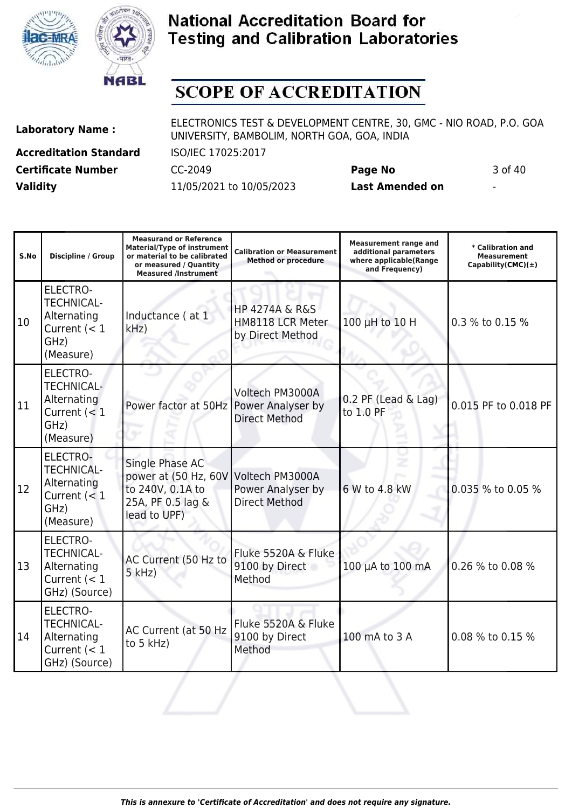



# **SCOPE OF ACCREDITATION**

**Accreditation Standard** ISO/IEC 17025:2017 **Certificate Number** CC-2049 **Page No** 3 of 40 **Validity** 11/05/2021 to 10/05/2023 **Last Amended on** -

| S.No | Discipline / Group                                                                         | <b>Measurand or Reference</b><br><b>Material/Type of instrument</b><br>or material to be calibrated<br>or measured / Quantity<br><b>Measured /Instrument</b> | <b>Calibration or Measurement</b><br><b>Method or procedure</b>       | <b>Measurement range and</b><br>additional parameters<br>where applicable(Range<br>and Frequency) | * Calibration and<br><b>Measurement</b><br>$Capability(CMC)(\pm)$ |
|------|--------------------------------------------------------------------------------------------|--------------------------------------------------------------------------------------------------------------------------------------------------------------|-----------------------------------------------------------------------|---------------------------------------------------------------------------------------------------|-------------------------------------------------------------------|
| 10   | <b>ELECTRO-</b><br><b>TECHNICAL-</b><br>Alternating<br>Current $(< 1$<br>GHz)<br>(Measure) | Inductance (at 1<br>kHz                                                                                                                                      | <b>HP 4274A &amp; R&amp;S</b><br>HM8118 LCR Meter<br>by Direct Method | 100 µH to 10 H                                                                                    | 0.3 % to 0.15 %                                                   |
| 11   | <b>ELECTRO-</b><br><b>TECHNICAL-</b><br>Alternating<br>Current $(< 1$<br>GHz)<br>(Measure) | Power factor at 50Hz                                                                                                                                         | Voltech PM3000A<br>Power Analyser by<br><b>Direct Method</b>          | 0.2 PF (Lead & Lag)<br>to 1.0 PF                                                                  | 0.015 PF to 0.018 PF                                              |
| 12   | <b>ELECTRO-</b><br><b>TECHNICAL-</b><br>Alternating<br>Current $(< 1$<br>GHz)<br>(Measure) | Single Phase AC<br>power at (50 Hz, 60V<br>to 240V, 0.1A to<br>25A, PF 0.5 lag &<br>lead to UPF)                                                             | Voltech PM3000A<br>Power Analyser by<br><b>Direct Method</b>          | 6 W to 4.8 kW                                                                                     | 0.035 % to 0.05 %                                                 |
| 13   | <b>ELECTRO-</b><br><b>TECHNICAL-</b><br>Alternating<br>Current $(< 1$<br>GHz) (Source)     | AC Current (50 Hz to<br>$5$ kHz)                                                                                                                             | Fluke 5520A & Fluke<br>9100 by Direct<br>Method                       | 100 µA to 100 mA                                                                                  | 0.26 % to 0.08 %                                                  |
| 14   | <b>ELECTRO-</b><br><b>TECHNICAL-</b><br>Alternating<br>Current $(< 1$<br>GHz) (Source)     | AC Current (at 50 Hz<br>to 5 kHz)                                                                                                                            | Fluke 5520A & Fluke<br>9100 by Direct<br>Method                       | 100 mA to 3 A                                                                                     | 0.08 % to 0.15 %                                                  |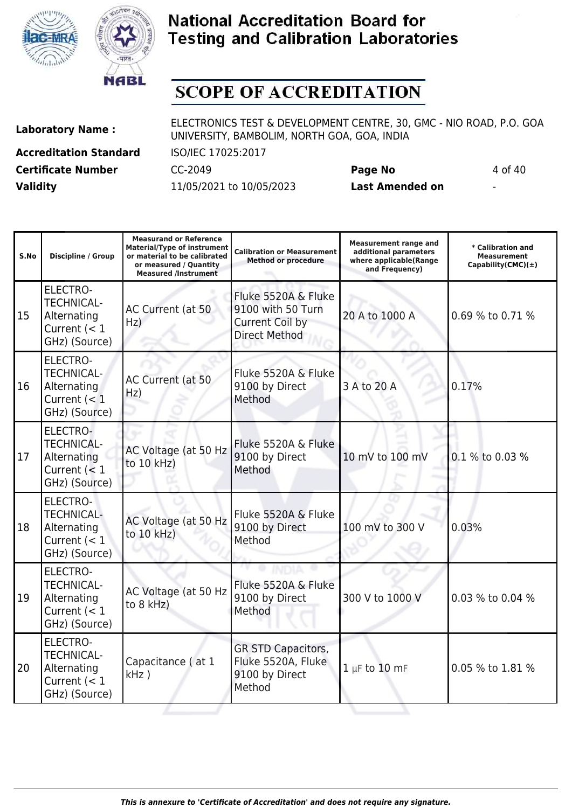



## **SCOPE OF ACCREDITATION**

**Laboratory Name :** ELECTRONICS TEST & DEVELOPMENT CENTRE, 30, GMC - NIO ROAD, P.O. GOA UNIVERSITY, BAMBOLIM, NORTH GOA, GOA, INDIA

**Accreditation Standard** ISO/IEC 17025:2017 **Certificate Number** CC-2049 **Page No** 4 of 40 **Validity** 11/05/2021 to 10/05/2023 **Last Amended on** -

| S.No | <b>Discipline / Group</b>                                                              | <b>Measurand or Reference</b><br><b>Material/Type of instrument</b><br>or material to be calibrated<br>or measured / Quantity<br><b>Measured /Instrument</b> | <b>Calibration or Measurement</b><br><b>Method or procedure</b>                     | <b>Measurement range and</b><br>additional parameters<br>where applicable(Range<br>and Frequency) | * Calibration and<br><b>Measurement</b><br>Capability(CMC) $(\pm)$ |
|------|----------------------------------------------------------------------------------------|--------------------------------------------------------------------------------------------------------------------------------------------------------------|-------------------------------------------------------------------------------------|---------------------------------------------------------------------------------------------------|--------------------------------------------------------------------|
| 15   | <b>ELECTRO-</b><br><b>TECHNICAL-</b><br>Alternating<br>Current $(< 1$<br>GHz) (Source) | AC Current (at 50<br>Hz)                                                                                                                                     | Fluke 5520A & Fluke<br>9100 with 50 Turn<br>Current Coil by<br><b>Direct Method</b> | 20 A to 1000 A                                                                                    | 0.69 % to 0.71 %                                                   |
| 16   | <b>ELECTRO-</b><br><b>TECHNICAL-</b><br>Alternating<br>Current $(< 1$<br>GHz) (Source) | AC Current (at 50<br>Hz)                                                                                                                                     | Fluke 5520A & Fluke<br>9100 by Direct<br>Method                                     | 3 A to 20 A                                                                                       | 0.17%                                                              |
| 17   | ELECTRO-<br><b>TECHNICAL-</b><br>Alternating<br>Current $(< 1$<br>GHz) (Source)        | AC Voltage (at 50 Hz<br>to 10 kHz)                                                                                                                           | Fluke 5520A & Fluke<br>9100 by Direct<br>Method                                     | 10 mV to 100 mV                                                                                   | 0.1 % to 0.03 %                                                    |
| 18   | <b>ELECTRO-</b><br><b>TECHNICAL-</b><br>Alternating<br>Current $(< 1$<br>GHz) (Source) | AC Voltage (at 50 Hz<br>to 10 kHz)                                                                                                                           | Fluke 5520A & Fluke<br>9100 by Direct<br>Method                                     | 100 mV to 300 V                                                                                   | 0.03%                                                              |
| 19   | ELECTRO-<br><b>TECHNICAL-</b><br>Alternating<br>Current $(< 1$<br>GHz) (Source)        | AC Voltage (at 50 Hz<br>to 8 kHz)                                                                                                                            | Fluke 5520A & Fluke<br>9100 by Direct<br>Method                                     | 300 V to 1000 V                                                                                   | 0.03 % to 0.04 %                                                   |
| 20   | ELECTRO-<br><b>TECHNICAL-</b><br>Alternating<br>Current $(< 1$<br>GHz) (Source)        | Capacitance (at 1<br>$kHz$ )                                                                                                                                 | <b>GR STD Capacitors,</b><br>Fluke 5520A, Fluke<br>9100 by Direct<br>Method         | $1 \mu F$ to 10 mF                                                                                | 0.05 % to 1.81 %                                                   |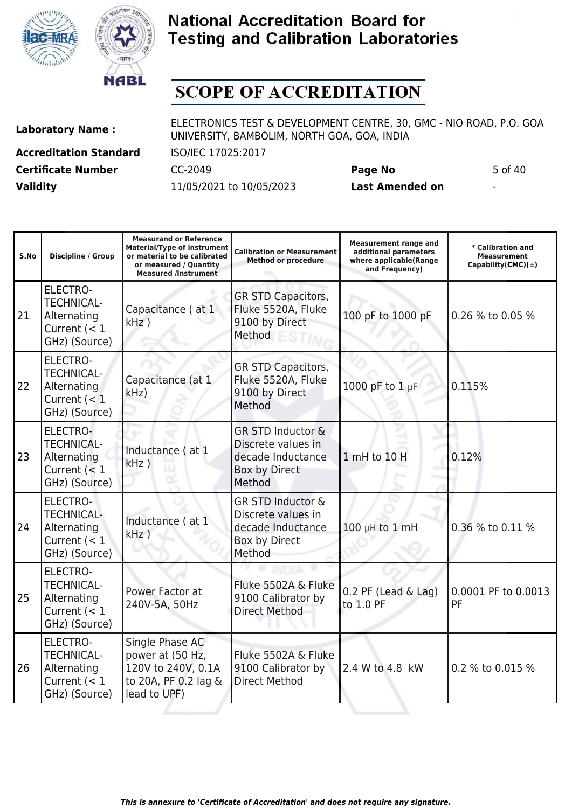



# **SCOPE OF ACCREDITATION**

**Laboratory Name :** ELECTRONICS TEST & DEVELOPMENT CENTRE, 30, GMC - NIO ROAD, P.O. GOA UNIVERSITY, BAMBOLIM, NORTH GOA, GOA, INDIA

**Accreditation Standard** ISO/IEC 17025:2017 **Certificate Number** CC-2049 **Page No** 5 of 40 **Validity** 11/05/2021 to 10/05/2023 **Last Amended on** -

| S.No | <b>Discipline / Group</b>                                                              | <b>Measurand or Reference</b><br><b>Material/Type of instrument</b><br>or material to be calibrated<br>or measured / Quantity<br><b>Measured /Instrument</b> | <b>Calibration or Measurement</b><br><b>Method or procedure</b>                                    | <b>Measurement range and</b><br>additional parameters<br>where applicable(Range<br>and Frequency) | * Calibration and<br><b>Measurement</b><br>Capability(CMC) $(\pm)$ |
|------|----------------------------------------------------------------------------------------|--------------------------------------------------------------------------------------------------------------------------------------------------------------|----------------------------------------------------------------------------------------------------|---------------------------------------------------------------------------------------------------|--------------------------------------------------------------------|
| 21   | <b>ELECTRO-</b><br><b>TECHNICAL-</b><br>Alternating<br>Current $(< 1$<br>GHz) (Source) | Capacitance (at 1<br>$kHz$ )                                                                                                                                 | <b>GR STD Capacitors,</b><br>Fluke 5520A, Fluke<br>9100 by Direct<br>Method                        | 100 pF to 1000 pF                                                                                 | 0.26 % to 0.05 %                                                   |
| 22   | <b>ELECTRO-</b><br><b>TECHNICAL-</b><br>Alternating<br>Current $(< 1$<br>GHz) (Source) | Capacitance (at 1<br>kHz                                                                                                                                     | <b>GR STD Capacitors,</b><br>Fluke 5520A, Fluke<br>9100 by Direct<br>Method                        | 1000 pF to 1 µF                                                                                   | 0.115%                                                             |
| 23   | ELECTRO-<br><b>TECHNICAL-</b><br>Alternating<br>Current $(< 1$<br>GHz) (Source)        | Inductance (at 1<br>$kHz$ )                                                                                                                                  | <b>GR STD Inductor &amp;</b><br>Discrete values in<br>decade Inductance<br>Box by Direct<br>Method | 1 mH to 10 H                                                                                      | 0.12%                                                              |
| 24   | <b>ELECTRO-</b><br><b>TECHNICAL-</b><br>Alternating<br>Current $(< 1$<br>GHz) (Source) | Inductance (at 1<br>$kHz$ )                                                                                                                                  | <b>GR STD Inductor &amp;</b><br>Discrete values in<br>decade Inductance<br>Box by Direct<br>Method | 100 µH to 1 mH                                                                                    | 0.36 % to 0.11 %                                                   |
| 25   | ELECTRO-<br><b>TECHNICAL-</b><br>Alternating<br>Current $(< 1$<br>GHz) (Source)        | Power Factor at<br>240V-5A, 50Hz                                                                                                                             | Fluke 5502A & Fluke<br>9100 Calibrator by<br><b>Direct Method</b>                                  | $0.2$ PF (Lead & Lag)<br>to 1.0 PF                                                                | 0.0001 PF to 0.0013<br>PF                                          |
| 26   | <b>ELECTRO-</b><br><b>TECHNICAL-</b><br>Alternating<br>Current $(< 1$<br>GHz) (Source) | Single Phase AC<br>power at (50 Hz,<br>120V to 240V, 0.1A<br>to 20A, PF 0.2 lag &<br>lead to UPF)                                                            | Fluke 5502A & Fluke<br>9100 Calibrator by<br><b>Direct Method</b>                                  | 2.4 W to 4.8 kW                                                                                   | 0.2 % to 0.015 %                                                   |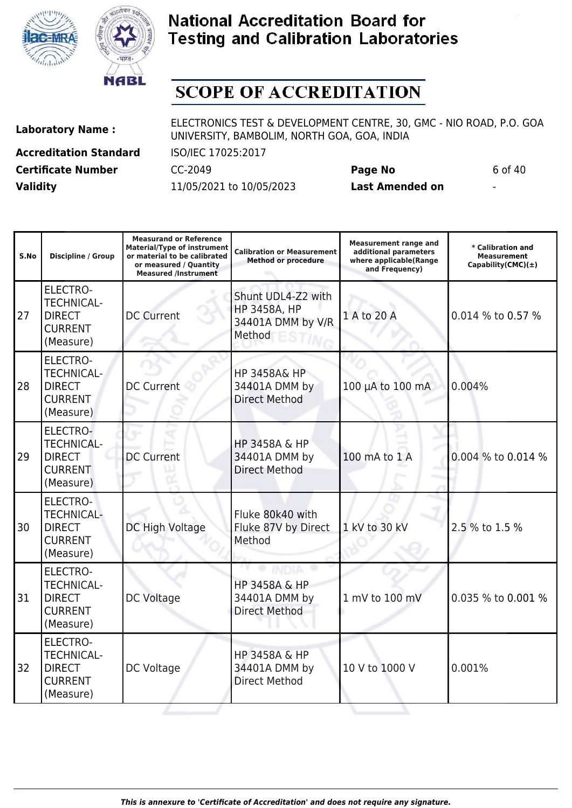



# **SCOPE OF ACCREDITATION**

**Laboratory Name :** ELECTRONICS TEST & DEVELOPMENT CENTRE, 30, GMC - NIO ROAD, P.O. GOA UNIVERSITY, BAMBOLIM, NORTH GOA, GOA, INDIA **Accreditation Standard** ISO/IEC 17025:2017

**Certificate Number** CC-2049 **Page No** 6 of 40 **Validity** 11/05/2021 to 10/05/2023 **Last Amended on** -

| S.No | <b>Discipline / Group</b>                                                            | <b>Measurand or Reference</b><br><b>Material/Type of instrument</b><br>or material to be calibrated<br>or measured / Quantity<br><b>Measured /Instrument</b> | <b>Calibration or Measurement</b><br><b>Method or procedure</b>          | <b>Measurement range and</b><br>additional parameters<br>where applicable(Range<br>and Frequency) | * Calibration and<br><b>Measurement</b><br>Capability(CMC) $(\pm)$ |
|------|--------------------------------------------------------------------------------------|--------------------------------------------------------------------------------------------------------------------------------------------------------------|--------------------------------------------------------------------------|---------------------------------------------------------------------------------------------------|--------------------------------------------------------------------|
| 27   | <b>ELECTRO-</b><br><b>TECHNICAL-</b><br><b>DIRECT</b><br><b>CURRENT</b><br>(Measure) | <b>DC Current</b>                                                                                                                                            | Shunt UDL4-Z2 with<br><b>HP 3458A, HP</b><br>34401A DMM by V/R<br>Method | 1 A to 20 A                                                                                       | 0.014 % to 0.57 %                                                  |
| 28   | <b>ELECTRO-</b><br><b>TECHNICAL-</b><br><b>DIRECT</b><br><b>CURRENT</b><br>(Measure) | <b>DC Current</b>                                                                                                                                            | <b>HP 3458A&amp; HP</b><br>34401A DMM by<br><b>Direct Method</b>         | 100 µA to 100 mA                                                                                  | 0.004%                                                             |
| 29   | ELECTRO-<br><b>TECHNICAL-</b><br><b>DIRECT</b><br><b>CURRENT</b><br>(Measure)        | <b>DC Current</b>                                                                                                                                            | HP 3458A & HP<br>34401A DMM by<br><b>Direct Method</b>                   | 100 mA to 1 A                                                                                     | 0.004 % to 0.014 %                                                 |
| 30   | <b>ELECTRO-</b><br><b>TECHNICAL-</b><br><b>DIRECT</b><br><b>CURRENT</b><br>(Measure) | DC High Voltage                                                                                                                                              | Fluke 80k40 with<br>Fluke 87V by Direct<br>Method                        | 1 kV to 30 kV                                                                                     | 2.5 % to 1.5 %                                                     |
| 31   | <b>ELECTRO-</b><br><b>TECHNICAL-</b><br><b>DIRECT</b><br><b>CURRENT</b><br>(Measure) | DC Voltage                                                                                                                                                   | HP 3458A & HP<br>34401A DMM by<br><b>Direct Method</b>                   | 1 mV to 100 mV                                                                                    | 0.035 % to 0.001 %                                                 |
| 32   | <b>ELECTRO-</b><br><b>TECHNICAL-</b><br><b>DIRECT</b><br><b>CURRENT</b><br>(Measure) | DC Voltage                                                                                                                                                   | <b>HP 3458A &amp; HP</b><br>34401A DMM by<br><b>Direct Method</b>        | 10 V to 1000 V                                                                                    | 0.001%                                                             |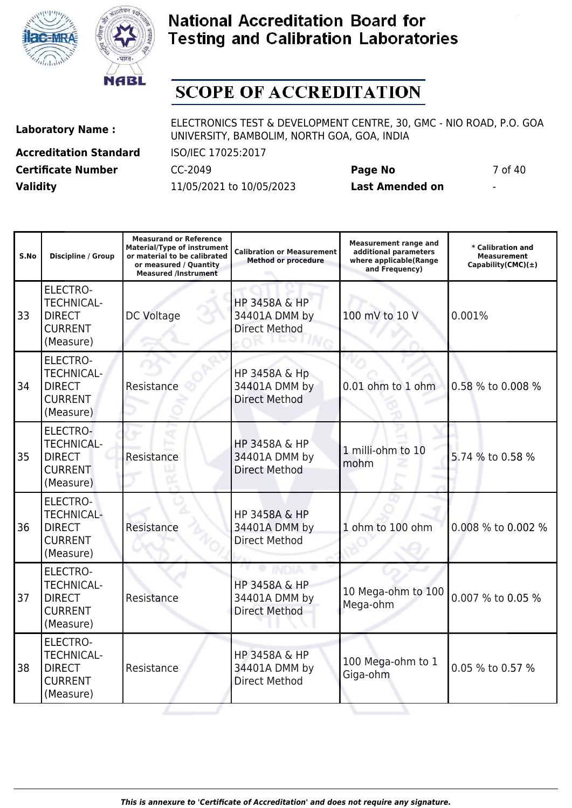



# **SCOPE OF ACCREDITATION**

**Accreditation Standard** ISO/IEC 17025:2017 **Certificate Number** CC-2049 **Page No** 7 of 40 **Validity** 11/05/2021 to 10/05/2023 **Last Amended on** -

| S.No | <b>Discipline / Group</b>                                                            | <b>Measurand or Reference</b><br><b>Material/Type of instrument</b><br>or material to be calibrated<br>or measured / Quantity<br><b>Measured /Instrument</b> | <b>Calibration or Measurement</b><br><b>Method or procedure</b>   | <b>Measurement range and</b><br>additional parameters<br>where applicable(Range<br>and Frequency) | * Calibration and<br><b>Measurement</b><br>Capability(CMC) $(\pm)$ |
|------|--------------------------------------------------------------------------------------|--------------------------------------------------------------------------------------------------------------------------------------------------------------|-------------------------------------------------------------------|---------------------------------------------------------------------------------------------------|--------------------------------------------------------------------|
| 33   | <b>ELECTRO-</b><br><b>TECHNICAL-</b><br><b>DIRECT</b><br><b>CURRENT</b><br>(Measure) | DC Voltage                                                                                                                                                   | HP 3458A & HP<br>34401A DMM by<br><b>Direct Method</b>            | 100 mV to 10 V                                                                                    | 0.001%                                                             |
| 34   | <b>ELECTRO-</b><br><b>TECHNICAL-</b><br><b>DIRECT</b><br><b>CURRENT</b><br>(Measure) | Resistance                                                                                                                                                   | HP 3458A & Hp<br>34401A DMM by<br><b>Direct Method</b>            | 0.01 ohm to 1 ohm                                                                                 | 0.58 % to 0.008 %                                                  |
| 35   | ELECTRO-<br><b>TECHNICAL-</b><br><b>DIRECT</b><br><b>CURRENT</b><br>(Measure)        | Resistance                                                                                                                                                   | <b>HP 3458A &amp; HP</b><br>34401A DMM by<br><b>Direct Method</b> | 1 milli-ohm to 10<br>mohm                                                                         | 5.74 % to 0.58 %                                                   |
| 36   | ELECTRO-<br><b>TECHNICAL-</b><br><b>DIRECT</b><br><b>CURRENT</b><br>(Measure)        | Resistance                                                                                                                                                   | HP 3458A & HP<br>34401A DMM by<br><b>Direct Method</b>            | 1 ohm to 100 ohm                                                                                  | 0.008 % to 0.002 %                                                 |
| 37   | <b>ELECTRO-</b><br><b>TECHNICAL-</b><br><b>DIRECT</b><br><b>CURRENT</b><br>(Measure) | Resistance                                                                                                                                                   | HP 3458A & HP<br>34401A DMM by<br><b>Direct Method</b>            | 10 Mega-ohm to 100<br>Mega-ohm                                                                    | 0.007 % to 0.05 %                                                  |
| 38   | <b>ELECTRO-</b><br><b>TECHNICAL-</b><br><b>DIRECT</b><br><b>CURRENT</b><br>(Measure) | Resistance                                                                                                                                                   | <b>HP 3458A &amp; HP</b><br>34401A DMM by<br><b>Direct Method</b> | 100 Mega-ohm to 1<br>Giga-ohm                                                                     | 0.05 % to 0.57 %                                                   |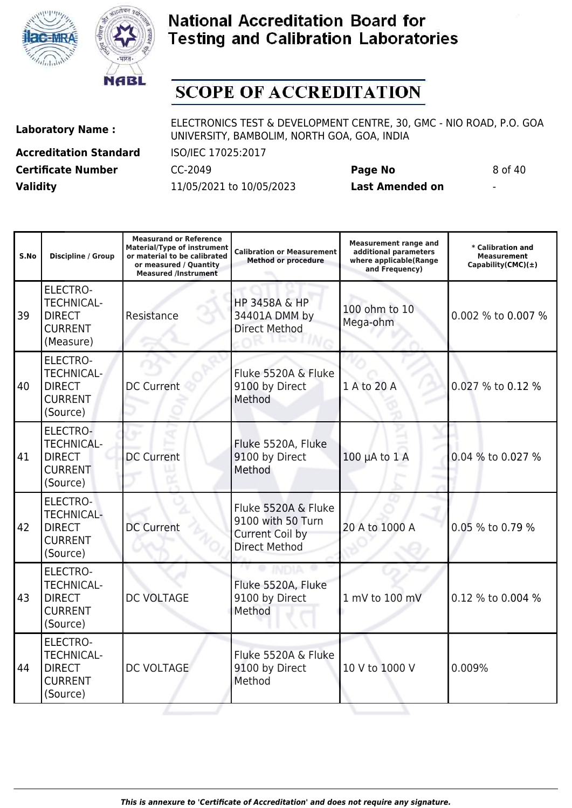



# **SCOPE OF ACCREDITATION**

**Accreditation Standard** ISO/IEC 17025:2017 **Certificate Number** CC-2049 **Page No** 8 of 40

**Laboratory Name :** ELECTRONICS TEST & DEVELOPMENT CENTRE, 30, GMC - NIO ROAD, P.O. GOA UNIVERSITY, BAMBOLIM, NORTH GOA, GOA, INDIA

**Validity** 11/05/2021 to 10/05/2023 **Last Amended on** -

| S.No | <b>Discipline / Group</b>                                                           | <b>Measurand or Reference</b><br><b>Material/Type of instrument</b><br>or material to be calibrated<br>or measured / Quantity<br><b>Measured /Instrument</b> | <b>Calibration or Measurement</b><br><b>Method or procedure</b>                     | <b>Measurement range and</b><br>additional parameters<br>where applicable(Range<br>and Frequency) | * Calibration and<br>Measurement<br>Capability(CMC) $(\pm)$ |
|------|-------------------------------------------------------------------------------------|--------------------------------------------------------------------------------------------------------------------------------------------------------------|-------------------------------------------------------------------------------------|---------------------------------------------------------------------------------------------------|-------------------------------------------------------------|
| 39   | ELECTRO-<br><b>TECHNICAL-</b><br><b>DIRECT</b><br><b>CURRENT</b><br>(Measure)       | Resistance                                                                                                                                                   | <b>HP 3458A &amp; HP</b><br>34401A DMM by<br><b>Direct Method</b>                   | 100 ohm to 10<br>Mega-ohm                                                                         | 0.002 % to 0.007 %                                          |
| 40   | ELECTRO-<br><b>TECHNICAL-</b><br><b>DIRECT</b><br><b>CURRENT</b><br>(Source)        | <b>DC Current</b>                                                                                                                                            | Fluke 5520A & Fluke<br>9100 by Direct<br>Method                                     | 1 A to 20 A                                                                                       | 0.027 % to 0.12 %                                           |
| 41   | ELECTRO-<br><b>TECHNICAL-</b><br><b>DIRECT</b><br><b>CURRENT</b><br>(Source)        | <b>DC Current</b>                                                                                                                                            | Fluke 5520A, Fluke<br>9100 by Direct<br>Method                                      | $100 \mu A$ to $1 A$                                                                              | 0.04 % to 0.027 %                                           |
| 42   | <b>ELECTRO-</b><br><b>TECHNICAL-</b><br><b>DIRECT</b><br><b>CURRENT</b><br>(Source) | <b>DC Current</b>                                                                                                                                            | Fluke 5520A & Fluke<br>9100 with 50 Turn<br>Current Coil by<br><b>Direct Method</b> | 20 A to 1000 A                                                                                    | 0.05 % to 0.79 %                                            |
| 43   | <b>ELECTRO-</b><br><b>TECHNICAL-</b><br><b>DIRECT</b><br><b>CURRENT</b><br>(Source) | <b>DC VOLTAGE</b>                                                                                                                                            | Fluke 5520A, Fluke<br>9100 by Direct<br>Method                                      | 1 mV to 100 mV                                                                                    | 0.12 % to 0.004 %                                           |
| 44   | ELECTRO-<br><b>TECHNICAL-</b><br><b>DIRECT</b><br><b>CURRENT</b><br>(Source)        | DC VOLTAGE                                                                                                                                                   | Fluke 5520A & Fluke<br>9100 by Direct<br>Method                                     | 10 V to 1000 V                                                                                    | 0.009%                                                      |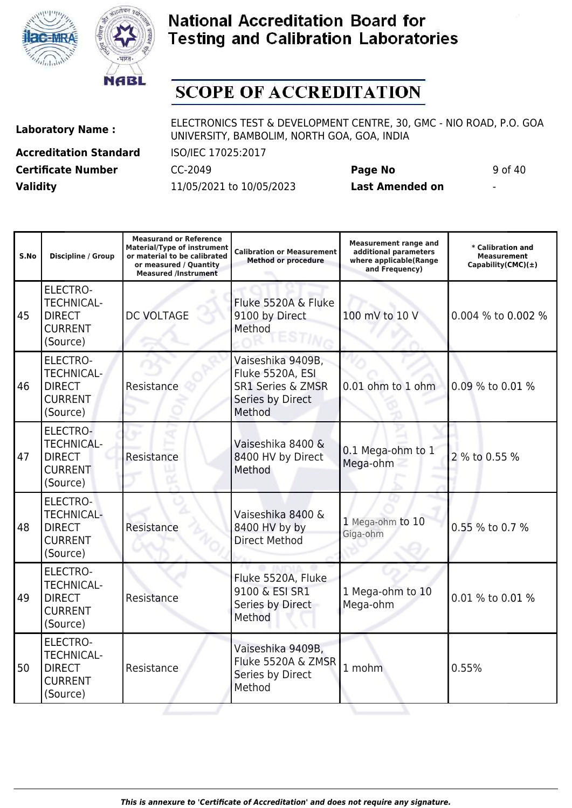



# **SCOPE OF ACCREDITATION**

**Laboratory Name :** ELECTRONICS TEST & DEVELOPMENT CENTRE, 30, GMC - NIO ROAD, P.O. GOA UNIVERSITY, BAMBOLIM, NORTH GOA, GOA, INDIA

**Accreditation Standard** ISO/IEC 17025:2017 **Certificate Number** CC-2049 **Page No** 9 of 40 **Validity** 11/05/2021 to 10/05/2023 **Last Amended on** -

| S.No | <b>Discipline / Group</b>                                                           | <b>Measurand or Reference</b><br><b>Material/Type of instrument</b><br>or material to be calibrated<br>or measured / Quantity<br><b>Measured /Instrument</b> | <b>Calibration or Measurement</b><br><b>Method or procedure</b>                                     | <b>Measurement range and</b><br>additional parameters<br>where applicable(Range<br>and Frequency) | * Calibration and<br><b>Measurement</b><br>Capability(CMC) $(\pm)$ |
|------|-------------------------------------------------------------------------------------|--------------------------------------------------------------------------------------------------------------------------------------------------------------|-----------------------------------------------------------------------------------------------------|---------------------------------------------------------------------------------------------------|--------------------------------------------------------------------|
| 45   | <b>ELECTRO-</b><br><b>TECHNICAL-</b><br><b>DIRECT</b><br><b>CURRENT</b><br>(Source) | <b>DC VOLTAGE</b>                                                                                                                                            | Fluke 5520A & Fluke<br>9100 by Direct<br>Method                                                     | 100 mV to 10 V                                                                                    | 0.004 % to 0.002 %                                                 |
| 46   | <b>ELECTRO-</b><br><b>TECHNICAL-</b><br><b>DIRECT</b><br><b>CURRENT</b><br>(Source) | Resistance                                                                                                                                                   | Vaiseshika 9409B,<br>Fluke 5520A, ESI<br><b>SR1 Series &amp; ZMSR</b><br>Series by Direct<br>Method | 0.01 ohm to 1 ohm                                                                                 | 0.09 % to 0.01 %                                                   |
| 47   | <b>ELECTRO-</b><br><b>TECHNICAL-</b><br><b>DIRECT</b><br><b>CURRENT</b><br>(Source) | Resistance                                                                                                                                                   | Vaiseshika 8400 &<br>8400 HV by Direct<br>Method                                                    | 0.1 Mega-ohm to 1<br>Mega-ohm                                                                     | 2 % to 0.55 %                                                      |
| 48   | <b>ELECTRO-</b><br><b>TECHNICAL-</b><br><b>DIRECT</b><br><b>CURRENT</b><br>(Source) | Resistance                                                                                                                                                   | Vaiseshika 8400 &<br>8400 HV by by<br><b>Direct Method</b>                                          | 1 Mega-ohm to 10<br>Giga-ohm                                                                      | 0.55 % to 0.7 %                                                    |
| 49   | <b>ELECTRO-</b><br><b>TECHNICAL-</b><br><b>DIRECT</b><br><b>CURRENT</b><br>(Source) | Resistance                                                                                                                                                   | Fluke 5520A, Fluke<br>9100 & ESI SR1<br>Series by Direct<br>Method                                  | 1 Mega-ohm to 10<br>Mega-ohm                                                                      | 0.01 % to 0.01 %                                                   |
| 50   | <b>ELECTRO-</b><br><b>TECHNICAL-</b><br><b>DIRECT</b><br><b>CURRENT</b><br>(Source) | Resistance                                                                                                                                                   | Vaiseshika 9409B,<br>Fluke 5520A & ZMSR<br>Series by Direct<br>Method                               | 1 mohm                                                                                            | 0.55%                                                              |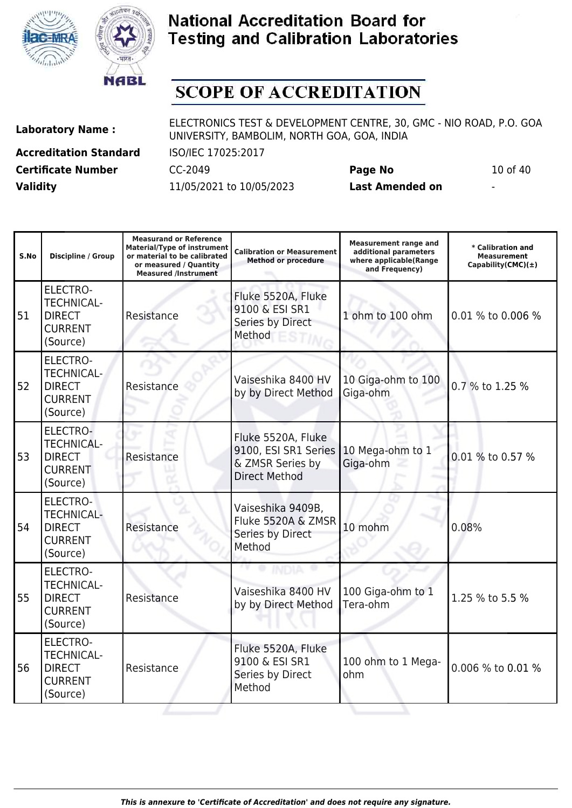



# **SCOPE OF ACCREDITATION**

**Accreditation Standard** ISO/IEC 17025:2017 **Certificate Number** CC-2049 **Page No** 10 of 40 **Validity** 11/05/2021 to 10/05/2023 **Last Amended on** -

| S.No | <b>Discipline / Group</b>                                                           | <b>Measurand or Reference</b><br><b>Material/Type of instrument</b><br>or material to be calibrated<br>or measured / Quantity<br><b>Measured /Instrument</b> | <b>Calibration or Measurement</b><br><b>Method or procedure</b>                        | <b>Measurement range and</b><br>additional parameters<br>where applicable(Range<br>and Frequency) | * Calibration and<br><b>Measurement</b><br>Capability(CMC) $(\pm)$ |
|------|-------------------------------------------------------------------------------------|--------------------------------------------------------------------------------------------------------------------------------------------------------------|----------------------------------------------------------------------------------------|---------------------------------------------------------------------------------------------------|--------------------------------------------------------------------|
| 51   | <b>ELECTRO-</b><br><b>TECHNICAL-</b><br><b>DIRECT</b><br><b>CURRENT</b><br>(Source) | Resistance                                                                                                                                                   | Fluke 5520A, Fluke<br>9100 & ESI SR1<br>Series by Direct<br>Method                     | 1 ohm to 100 ohm                                                                                  | 0.01 % to 0.006 %                                                  |
| 52   | <b>ELECTRO-</b><br><b>TECHNICAL-</b><br><b>DIRECT</b><br><b>CURRENT</b><br>(Source) | Resistance                                                                                                                                                   | Vaiseshika 8400 HV<br>by by Direct Method                                              | 10 Giga-ohm to 100<br>Giga-ohm                                                                    | 0.7 % to 1.25 %                                                    |
| 53   | ELECTRO-<br><b>TECHNICAL-</b><br><b>DIRECT</b><br><b>CURRENT</b><br>(Source)        | Resistance                                                                                                                                                   | Fluke 5520A, Fluke<br>9100, ESI SR1 Series<br>& ZMSR Series by<br><b>Direct Method</b> | 10 Mega-ohm to 1<br>Giga-ohm                                                                      | 0.01 % to 0.57 %                                                   |
| 54   | <b>ELECTRO-</b><br><b>TECHNICAL-</b><br><b>DIRECT</b><br><b>CURRENT</b><br>(Source) | Resistance                                                                                                                                                   | Vaiseshika 9409B,<br>Fluke 5520A & ZMSR<br>Series by Direct<br>Method                  | 10 mohm                                                                                           | 0.08%                                                              |
| 55   | <b>ELECTRO-</b><br><b>TECHNICAL-</b><br><b>DIRECT</b><br><b>CURRENT</b><br>(Source) | Resistance                                                                                                                                                   | Vaiseshika 8400 HV<br>by by Direct Method                                              | 100 Giga-ohm to 1<br>Tera-ohm                                                                     | 1.25 % to 5.5 %                                                    |
| 56   | <b>ELECTRO-</b><br><b>TECHNICAL-</b><br><b>DIRECT</b><br><b>CURRENT</b><br>(Source) | Resistance                                                                                                                                                   | Fluke 5520A, Fluke<br>9100 & ESI SR1<br>Series by Direct<br>Method                     | 100 ohm to 1 Mega-<br>ohm                                                                         | 0.006 % to 0.01 %                                                  |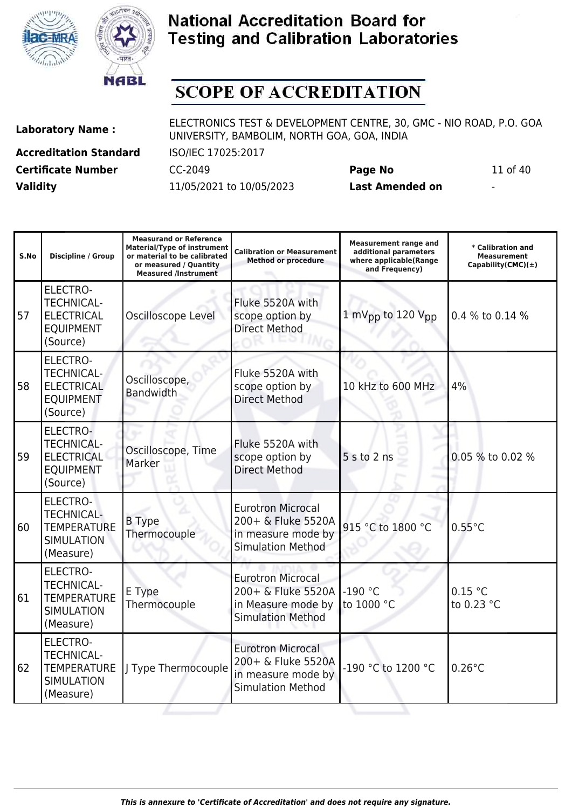



# **SCOPE OF ACCREDITATION**

**Accreditation Standard** ISO/IEC 17025:2017 **Certificate Number** CC-2049 **Page No** 11 of 40 **Validity** 11/05/2021 to 10/05/2023 **Last Amended on** -

| S.No | <b>Discipline / Group</b>                                                                    | <b>Measurand or Reference</b><br><b>Material/Type of instrument</b><br>or material to be calibrated<br>or measured / Quantity<br><b>Measured /Instrument</b> | <b>Calibration or Measurement</b><br><b>Method or procedure</b>                                  | <b>Measurement range and</b><br>additional parameters<br>where applicable(Range<br>and Frequency) | * Calibration and<br><b>Measurement</b><br>Capability(CMC) $(\pm)$ |
|------|----------------------------------------------------------------------------------------------|--------------------------------------------------------------------------------------------------------------------------------------------------------------|--------------------------------------------------------------------------------------------------|---------------------------------------------------------------------------------------------------|--------------------------------------------------------------------|
| 57   | <b>ELECTRO-</b><br><b>TECHNICAL-</b><br><b>ELECTRICAL</b><br><b>EQUIPMENT</b><br>(Source)    | Oscilloscope Level                                                                                                                                           | Fluke 5520A with<br>scope option by<br><b>Direct Method</b>                                      | 1 mV <sub>pp</sub> to 120 V <sub>pp</sub>                                                         | 0.4 % to 0.14 %                                                    |
| 58   | <b>ELECTRO-</b><br><b>TECHNICAL-</b><br><b>ELECTRICAL</b><br><b>EQUIPMENT</b><br>(Source)    | Oscilloscope,<br><b>Bandwidth</b>                                                                                                                            | Fluke 5520A with<br>scope option by<br><b>Direct Method</b>                                      | 10 kHz to 600 MHz                                                                                 | 4%                                                                 |
| 59   | ELECTRO-<br><b>TECHNICAL-</b><br><b>ELECTRICAL</b><br><b>EQUIPMENT</b><br>(Source)           | Oscilloscope, Time<br>Marker                                                                                                                                 | Fluke 5520A with<br>scope option by<br><b>Direct Method</b>                                      | 5 s to 2 ns                                                                                       | 0.05 % to 0.02 %                                                   |
| 60   | <b>ELECTRO-</b><br><b>TECHNICAL-</b><br><b>TEMPERATURE</b><br><b>SIMULATION</b><br>(Measure) | <b>B</b> Type<br>Thermocouple                                                                                                                                | <b>Eurotron Microcal</b><br>200+ & Fluke 5520A<br>in measure mode by<br><b>Simulation Method</b> | 915 °C to 1800 °C                                                                                 | $0.55^{\circ}$ C                                                   |
| 61   | <b>ELECTRO-</b><br><b>TECHNICAL-</b><br><b>TEMPERATURE</b><br><b>SIMULATION</b><br>(Measure) | E Type<br>Thermocouple                                                                                                                                       | <b>Eurotron Microcal</b><br>200+ & Fluke 5520A<br>in Measure mode by<br><b>Simulation Method</b> | $-190$ °C<br>to 1000 °C                                                                           | 0.15 °C<br>to 0.23 °C                                              |
| 62   | <b>ELECTRO-</b><br><b>TECHNICAL-</b><br><b>TEMPERATURE</b><br><b>SIMULATION</b><br>(Measure) | J Type Thermocouple                                                                                                                                          | <b>Eurotron Microcal</b><br>200+ & Fluke 5520A<br>in measure mode by<br><b>Simulation Method</b> | -190 °C to 1200 °C                                                                                | $0.26^{\circ}$ C                                                   |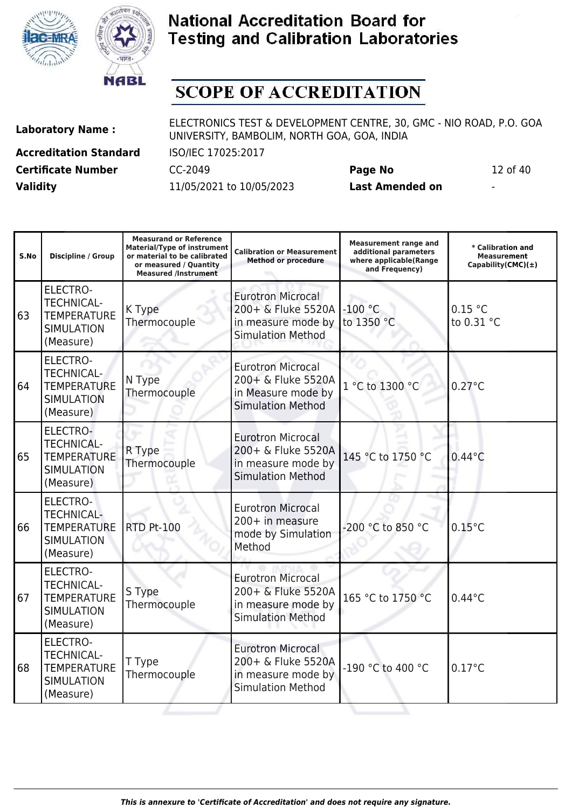



## **SCOPE OF ACCREDITATION**

**Laboratory Name :** ELECTRONICS TEST & DEVELOPMENT CENTRE, 30, GMC - NIO ROAD, P.O. GOA UNIVERSITY, BAMBOLIM, NORTH GOA, GOA, INDIA

**Accreditation Standard** ISO/IEC 17025:2017 **Certificate Number** CC-2049 **Page No** 12 of 40 **Validity** 11/05/2021 to 10/05/2023 **Last Amended on** -

**Measurand or Reference**

**Measurement range and**

| S.No | <b>Discipline / Group</b>                                                                    | <b>Material/Type of instrument</b><br>or material to be calibrated<br>or measured / Quantity<br><b>Measured /Instrument</b> | <b>Calibration or Measurement</b><br><b>Method or procedure</b>                                  | <b>Measurement range and</b><br>additional parameters<br>where applicable(Range<br>and Frequency) | * Calibration and<br><b>Measurement</b><br>Capability(CMC) $(\pm)$ |
|------|----------------------------------------------------------------------------------------------|-----------------------------------------------------------------------------------------------------------------------------|--------------------------------------------------------------------------------------------------|---------------------------------------------------------------------------------------------------|--------------------------------------------------------------------|
| 63   | <b>ELECTRO-</b><br><b>TECHNICAL-</b><br><b>TEMPERATURE</b><br><b>SIMULATION</b><br>(Measure) | K Type<br>Thermocouple                                                                                                      | <b>Eurotron Microcal</b><br>200+ & Fluke 5520A<br>in measure mode by<br><b>Simulation Method</b> | $-100$ °C<br>to 1350 °C                                                                           | 0.15 °C<br>to 0.31 °C                                              |
| 64   | <b>ELECTRO-</b><br><b>TECHNICAL-</b><br><b>TEMPERATURE</b><br><b>SIMULATION</b><br>(Measure) | N Type<br>Thermocouple                                                                                                      | <b>Eurotron Microcal</b><br>200+ & Fluke 5520A<br>in Measure mode by<br><b>Simulation Method</b> | 1 °C to 1300 °C                                                                                   | $0.27^{\circ}$ C                                                   |
| 65   | <b>ELECTRO-</b><br><b>TECHNICAL-</b><br><b>TEMPERATURE</b><br><b>SIMULATION</b><br>(Measure) | R Type<br>Thermocouple                                                                                                      | <b>Eurotron Microcal</b><br>200+ & Fluke 5520A<br>in measure mode by<br><b>Simulation Method</b> | 145 °C to 1750 °C                                                                                 | $0.44^{\circ}$ C                                                   |
| 66   | <b>ELECTRO-</b><br><b>TECHNICAL-</b><br><b>TEMPERATURE</b><br><b>SIMULATION</b><br>(Measure) | <b>RTD Pt-100</b>                                                                                                           | <b>Eurotron Microcal</b><br>200+ in measure<br>mode by Simulation<br>Method                      | -200 °C to 850 °C                                                                                 | $0.15^{\circ}$ C                                                   |
| 67   | <b>ELECTRO-</b><br><b>TECHNICAL-</b><br><b>TEMPERATURE</b><br><b>SIMULATION</b><br>(Measure) | S Type<br>Thermocouple                                                                                                      | <b>Eurotron Microcal</b><br>200+ & Fluke 5520A<br>in measure mode by<br><b>Simulation Method</b> | 165 °C to 1750 °C                                                                                 | $0.44^{\circ}$ C                                                   |
| 68   | <b>ELECTRO-</b><br>TECHNICAL-<br><b>TEMPERATURE</b><br><b>SIMULATION</b><br>(Measure)        | T Type<br>Thermocouple                                                                                                      | <b>Eurotron Microcal</b><br>200+ & Fluke 5520A<br>in measure mode by<br><b>Simulation Method</b> | -190 °C to 400 °C                                                                                 | $0.17^{\circ}$ C                                                   |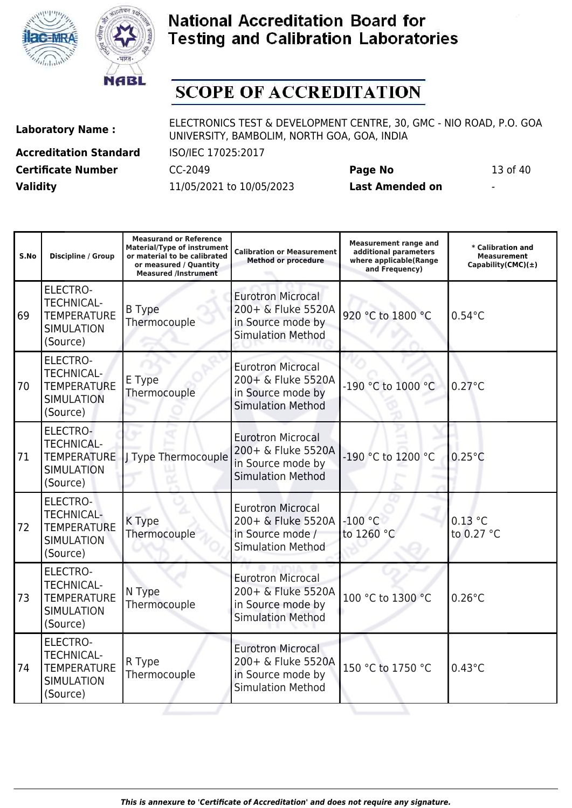



## **SCOPE OF ACCREDITATION**

**Laboratory Name :** ELECTRONICS TEST & DEVELOPMENT CENTRE, 30, GMC - NIO ROAD, P.O. GOA UNIVERSITY, BAMBOLIM, NORTH GOA, GOA, INDIA

**Accreditation Standard** ISO/IEC 17025:2017 **Certificate Number** CC-2049 **Page No** 13 of 40 **Validity** 11/05/2021 to 10/05/2023 **Last Amended on** -

**Measurand or Reference**

**S.No Discipline / Group Material/Type of instrument or material to be calibrated or measured / Quantity Measured /Instrument Calibration or Measurement Method or procedure Measurement range and additional parameters where applicable(Range and Frequency) \* Calibration and Measurement Capability(CMC)(±)** 69 ELECTRO-TECHNICAL-**TEMPERATURE SIMULATION** (Source) B Type Thermocouple Eurotron Microcal 200+ & Fluke 5520A in Source mode by Simulation Method 920 °C to 1800 °C 0.54°C 70 ELECTRO-TECHNICAL-**TEMPERATURE** SIMULATION (Source) E Type **Thermocouple** Eurotron Microcal 200+ & Fluke 5520A in Source mode by Simulation Method -190 °C to 1000 °C 0.27 °C 71 ELECTRO-TECHNICAL-TEMPERATURE J Type Thermocouple SIMULATION (Source) Eurotron Microcal 200+ & Fluke 5520A in Source mode by Simulation Method -190 °C to 1200 °C 0.25°C 72 ELECTRO-TECHNICAL-**TEMPERATURE SIMULATION** (Source) K Type Thermocouple Eurotron Microcal 200+ & Fluke 5520A in Source mode / Simulation Method -100 °C to 1260 °C 0.13 °C to 0.27 °C 73 ELECTRO-TECHNICAL-**TEMPERATURE** SIMULATION (Source) N Type **Thermocouple** Eurotron Microcal 200+ & Fluke 5520A in Source mode by Simulation Method 100 °C to 1300 °C 0.26 °C 74 ELECTRO-TECHNICAL-**TEMPERATURE** SIMULATION (Source) R Type Thermocouple Eurotron Microcal 200+ & Fluke 5520A in Source mode by Simulation Method 150 °C to 1750 °C 0.43°C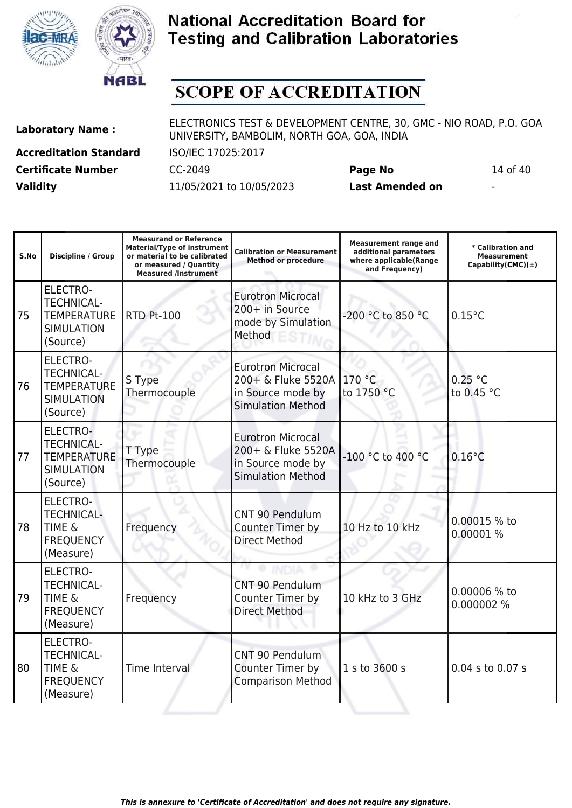



# **SCOPE OF ACCREDITATION**

**Laboratory Name :** ELECTRONICS TEST & DEVELOPMENT CENTRE, 30, GMC - NIO ROAD, P.O. GOA UNIVERSITY, BAMBOLIM, NORTH GOA, GOA, INDIA

**Accreditation Standard** ISO/IEC 17025:2017 **Certificate Number** CC-2049 **Page No** 14 of 40 **Validity** 11/05/2021 to 10/05/2023 **Last Amended on** -

| S.No | <b>Discipline / Group</b>                                                                   | <b>Measurand or Reference</b><br><b>Material/Type of instrument</b><br>or material to be calibrated<br>or measured / Quantity<br><b>Measured /Instrument</b> | <b>Calibration or Measurement</b><br><b>Method or procedure</b>                                 | <b>Measurement range and</b><br>additional parameters<br>where applicable(Range<br>and Frequency) | * Calibration and<br><b>Measurement</b><br>Capability(CMC)(±) |
|------|---------------------------------------------------------------------------------------------|--------------------------------------------------------------------------------------------------------------------------------------------------------------|-------------------------------------------------------------------------------------------------|---------------------------------------------------------------------------------------------------|---------------------------------------------------------------|
| 75   | <b>ELECTRO-</b><br><b>TECHNICAL-</b><br><b>TEMPERATURE</b><br><b>SIMULATION</b><br>(Source) | <b>RTD Pt-100</b>                                                                                                                                            | <b>Eurotron Microcal</b><br>200+ in Source<br>mode by Simulation<br>Method                      | -200 °C to 850 °C                                                                                 | $0.15^{\circ}$ C                                              |
| 76   | <b>ELECTRO-</b><br><b>TECHNICAL-</b><br><b>TEMPERATURE</b><br><b>SIMULATION</b><br>(Source) | S Type<br>Thermocouple                                                                                                                                       | <b>Eurotron Microcal</b><br>200+ & Fluke 5520A<br>in Source mode by<br><b>Simulation Method</b> | 170 °C<br>to 1750 °C                                                                              | 0.25 °C<br>to 0.45 °C                                         |
| 77   | ELECTRO-<br><b>TECHNICAL-</b><br><b>TEMPERATURE</b><br><b>SIMULATION</b><br>(Source)        | T Type<br>Thermocouple                                                                                                                                       | <b>Eurotron Microcal</b><br>200+ & Fluke 5520A<br>in Source mode by<br><b>Simulation Method</b> | -100 °C to 400 °C                                                                                 | $0.16^{\circ}$ C                                              |
| 78   | <b>ELECTRO-</b><br><b>TECHNICAL-</b><br><b>TIME &amp;</b><br><b>FREQUENCY</b><br>(Measure)  | Frequency                                                                                                                                                    | <b>CNT 90 Pendulum</b><br>Counter Timer by<br><b>Direct Method</b>                              | 10 Hz to 10 kHz                                                                                   | 0.00015 % to<br>0.00001 %                                     |
| 79   | <b>ELECTRO-</b><br><b>TECHNICAL-</b><br><b>TIME &amp;</b><br><b>FREQUENCY</b><br>(Measure)  | Frequency                                                                                                                                                    | CNT 90 Pendulum<br>Counter Timer by<br><b>Direct Method</b>                                     | 10 kHz to 3 GHz                                                                                   | 0.00006 % to<br>0.000002 %                                    |
| 80   | <b>ELECTRO-</b><br><b>TECHNICAL-</b><br><b>TIME &amp;</b><br><b>FREQUENCY</b><br>(Measure)  | Time Interval                                                                                                                                                | CNT 90 Pendulum<br>Counter Timer by<br><b>Comparison Method</b>                                 | 1 s to 3600 s                                                                                     | 0.04 s to 0.07 s                                              |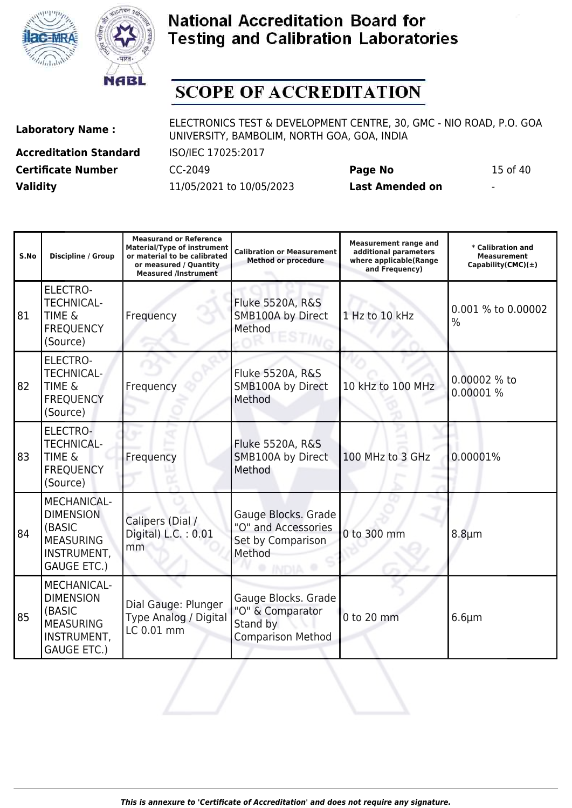



# **SCOPE OF ACCREDITATION**

**Accreditation Standard** ISO/IEC 17025:2017 **Certificate Number** CC-2049 **Page No** 15 of 40 **Validity** 11/05/2021 to 10/05/2023 **Last Amended on** -

| S.No | <b>Discipline / Group</b>                                                                                 | <b>Measurand or Reference</b><br><b>Material/Type of instrument</b><br>or material to be calibrated<br>or measured / Quantity<br><b>Measured /Instrument</b> | <b>Calibration or Measurement</b><br><b>Method or procedure</b>                 | <b>Measurement range and</b><br>additional parameters<br>where applicable(Range<br>and Frequency) | * Calibration and<br><b>Measurement</b><br>Capability(CMC) $(\pm)$ |
|------|-----------------------------------------------------------------------------------------------------------|--------------------------------------------------------------------------------------------------------------------------------------------------------------|---------------------------------------------------------------------------------|---------------------------------------------------------------------------------------------------|--------------------------------------------------------------------|
| 81   | <b>ELECTRO-</b><br><b>TECHNICAL-</b><br><b>TIME &amp;</b><br><b>FREQUENCY</b><br>(Source)                 | Frequency                                                                                                                                                    | <b>Fluke 5520A, R&amp;S</b><br>SMB100A by Direct<br>Method                      | 1 Hz to 10 kHz                                                                                    | 0.001 % to 0.00002<br>%                                            |
| 82   | <b>ELECTRO-</b><br><b>TECHNICAL-</b><br><b>TIME &amp;</b><br><b>FREQUENCY</b><br>(Source)                 | Frequency                                                                                                                                                    | Fluke 5520A, R&S<br>SMB100A by Direct<br>Method                                 | 10 kHz to 100 MHz                                                                                 | 0.00002 % to<br>0.00001 %                                          |
| 83   | ELECTRO-<br><b>TECHNICAL-</b><br><b>TIME &amp;</b><br><b>FREQUENCY</b><br>(Source)                        | Frequency                                                                                                                                                    | <b>Fluke 5520A, R&amp;S</b><br>SMB100A by Direct<br>Method                      | 100 MHz to 3 GHz                                                                                  | 0.00001%                                                           |
| 84   | MECHANICAL-<br><b>DIMENSION</b><br>(BASIC<br><b>MEASURING</b><br>INSTRUMENT,<br><b>GAUGE ETC.)</b>        | Calipers (Dial /<br>Digital) L.C.: 0.01<br>mm                                                                                                                | Gauge Blocks. Grade<br>"O" and Accessories<br>Set by Comparison<br>Method       | 0 to 300 mm                                                                                       | $8.8 \mu m$                                                        |
| 85   | MECHANICAL-<br><b>DIMENSION</b><br>(BASIC<br><b>MEASURING</b><br><b>INSTRUMENT,</b><br><b>GAUGE ETC.)</b> | Dial Gauge: Plunger<br>Type Analog / Digital<br>LC 0.01 mm                                                                                                   | Gauge Blocks. Grade<br>"O" & Comparator<br>Stand by<br><b>Comparison Method</b> | 0 to 20 mm                                                                                        | $6.6 \mu m$                                                        |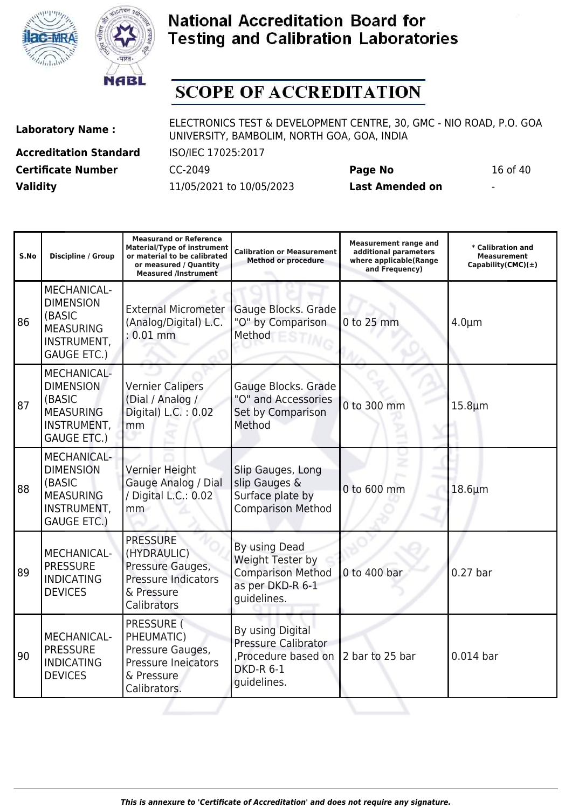



# **SCOPE OF ACCREDITATION**

**Accreditation Standard** ISO/IEC 17025:2017 **Certificate Number** CC-2049 **Page No** 16 of 40 **Validity** 11/05/2021 to 10/05/2023 **Last Amended on** -

**Laboratory Name :** ELECTRONICS TEST & DEVELOPMENT CENTRE, 30, GMC - NIO ROAD, P.O. GOA UNIVERSITY, BAMBOLIM, NORTH GOA, GOA, INDIA

**Measurand or Reference**

| S.No | Discipline / Group                                                                                        | <b>Measurand or Reference</b><br><b>Material/Type of instrument</b><br>or material to be calibrated<br>or measured / Quantity<br><b>Measured /Instrument</b> | <b>Calibration or Measurement</b><br><b>Method or procedure</b>                                         | <b>Measurement range and</b><br>additional parameters<br>where applicable(Range<br>and Frequency) | * Calibration and<br><b>Measurement</b><br>Capability(CMC) $(\pm)$ |
|------|-----------------------------------------------------------------------------------------------------------|--------------------------------------------------------------------------------------------------------------------------------------------------------------|---------------------------------------------------------------------------------------------------------|---------------------------------------------------------------------------------------------------|--------------------------------------------------------------------|
| 86   | <b>MECHANICAL-</b><br><b>DIMENSION</b><br>(BASIC<br><b>MEASURING</b><br>INSTRUMENT,<br><b>GAUGE ETC.)</b> | <b>External Micrometer</b><br>(Analog/Digital) L.C.<br>$: 0.01$ mm                                                                                           | Gauge Blocks. Grade<br>"O" by Comparison<br>Method                                                      | 0 to 25 mm                                                                                        | $4.0 \mu m$                                                        |
| 87   | <b>MECHANICAL-</b><br><b>DIMENSION</b><br>(BASIC<br><b>MEASURING</b><br>INSTRUMENT,<br><b>GAUGE ETC.)</b> | <b>Vernier Calipers</b><br>(Dial / Analog /<br>Digital) L.C.: 0.02<br>mm                                                                                     | Gauge Blocks. Grade<br>"O" and Accessories<br>Set by Comparison<br>Method                               | 0 to 300 mm                                                                                       | $15.8 \mu m$                                                       |
| 88   | <b>MECHANICAL-</b><br><b>DIMENSION</b><br>(BASIC<br><b>MEASURING</b><br>INSTRUMENT,<br><b>GAUGE ETC.)</b> | Vernier Height<br>Gauge Analog / Dial<br>/ Digital L.C.: 0.02<br>mm                                                                                          | Slip Gauges, Long<br>slip Gauges &<br>Surface plate by<br><b>Comparison Method</b>                      | 0 to 600 mm                                                                                       | $18.6 \mu m$                                                       |
| 89   | <b>MECHANICAL-</b><br><b>PRESSURE</b><br><b>INDICATING</b><br><b>DEVICES</b>                              | <b>PRESSURE</b><br>(HYDRAULIC)<br>Pressure Gauges,<br><b>Pressure Indicators</b><br>& Pressure<br>Calibrators                                                | By using Dead<br>Weight Tester by<br><b>Comparison Method</b><br>as per DKD-R 6-1<br>guidelines.        | 0 to 400 bar                                                                                      | $0.27$ bar                                                         |
| 90   | MECHANICAL-<br><b>PRESSURE</b><br><b>INDICATING</b><br><b>DEVICES</b>                                     | PRESSURE (<br>PHEUMATIC)<br>Pressure Gauges,<br>Pressure Ineicators<br>& Pressure<br>Calibrators.                                                            | By using Digital<br><b>Pressure Calibrator</b><br>Procedure based on<br><b>DKD-R 6-1</b><br>guidelines. | 2 bar to 25 bar                                                                                   | $0.014$ bar                                                        |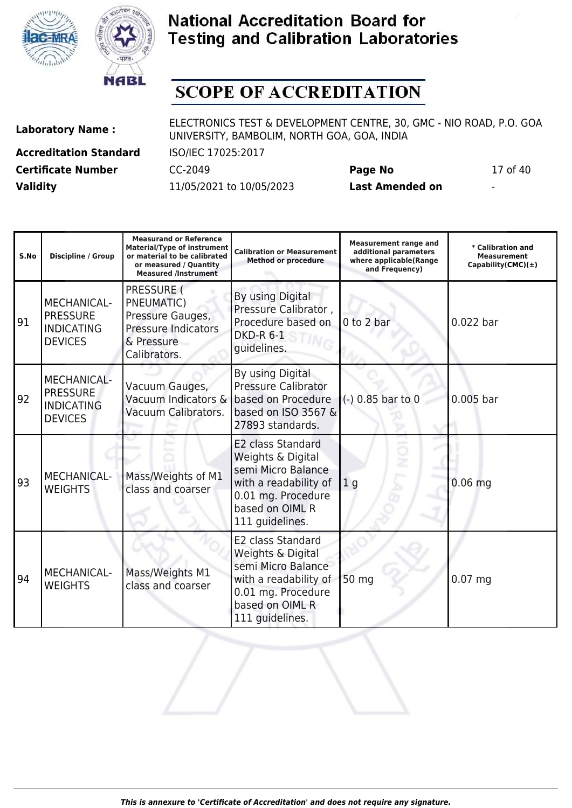



# **SCOPE OF ACCREDITATION**

**Accreditation Standard** ISO/IEC 17025:2017 **Certificate Number** CC-2049 **Page No** 17 of 40 **Validity** 11/05/2021 to 10/05/2023 **Last Amended on** -

| S.No | <b>Discipline / Group</b>                                                    | <b>Measurand or Reference</b><br><b>Material/Type of instrument</b><br>or material to be calibrated<br>or measured / Quantity<br><b>Measured /Instrument</b> | <b>Calibration or Measurement</b><br><b>Method or procedure</b>                                                                                   | <b>Measurement range and</b><br>additional parameters<br>where applicable(Range<br>and Frequency) | * Calibration and<br><b>Measurement</b><br>Capability(CMC) $(\pm)$ |
|------|------------------------------------------------------------------------------|--------------------------------------------------------------------------------------------------------------------------------------------------------------|---------------------------------------------------------------------------------------------------------------------------------------------------|---------------------------------------------------------------------------------------------------|--------------------------------------------------------------------|
| 91   | <b>MECHANICAL-</b><br><b>PRESSURE</b><br><b>INDICATING</b><br><b>DEVICES</b> | PRESSURE (<br>PNEUMATIC)<br>Pressure Gauges,<br>Pressure Indicators<br>& Pressure<br>Calibrators.                                                            | By using Digital<br>Pressure Calibrator,<br>Procedure based on<br><b>DKD-R 6-1</b><br>guidelines.                                                 | 0 to 2 bar                                                                                        | $0.022$ bar                                                        |
| 92   | <b>MECHANICAL-</b><br><b>PRESSURE</b><br><b>INDICATING</b><br><b>DEVICES</b> | Vacuum Gauges,<br>Vacuum Indicators &<br>Vacuum Calibrators.                                                                                                 | By using Digital<br><b>Pressure Calibrator</b><br>based on Procedure<br>based on ISO 3567 &<br>27893 standards.                                   | $(-)$ 0.85 bar to 0                                                                               | $0.005$ bar                                                        |
| 93   | <b>MECHANICAL-</b><br><b>WEIGHTS</b>                                         | Mass/Weights of M1<br>class and coarser                                                                                                                      | E2 class Standard<br>Weights & Digital<br>semi Micro Balance<br>with a readability of<br>0.01 mg. Procedure<br>based on OIML R<br>111 guidelines. | 1 <sub>q</sub>                                                                                    | $0.06$ mg                                                          |
| 94   | MECHANICAL-<br><b>WEIGHTS</b>                                                | Mass/Weights M1<br>class and coarser                                                                                                                         | E2 class Standard<br>Weights & Digital<br>semi Micro Balance<br>with a readability of<br>0.01 mg. Procedure<br>based on OIML R<br>111 quidelines. | 50 mg                                                                                             | $0.07$ mg                                                          |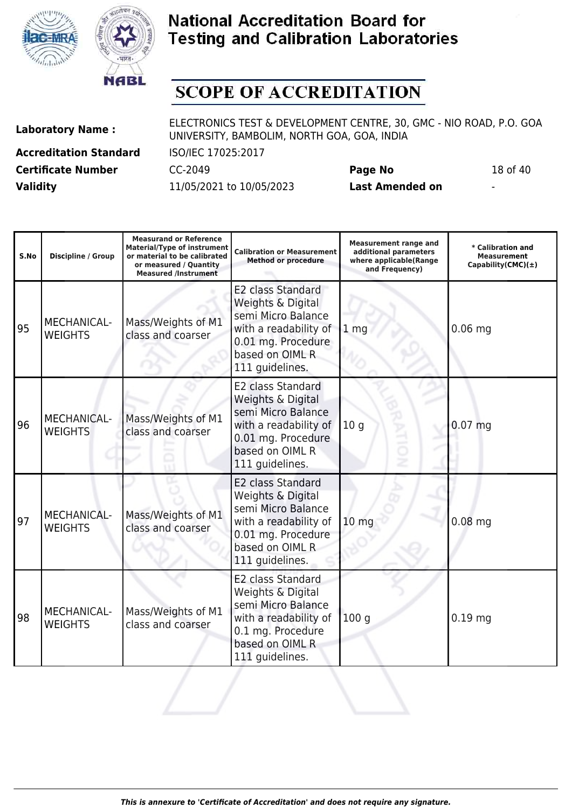



## **SCOPE OF ACCREDITATION**

**Laboratory Name :** ELECTRONICS TEST & DEVELOPMENT CENTRE, 30, GMC - NIO ROAD, P.O. GOA UNIVERSITY, BAMBOLIM, NORTH GOA, GOA, INDIA

**Accreditation Standard** ISO/IEC 17025:2017 **Certificate Number** CC-2049 **Page No** 18 of 40 **Validity** 11/05/2021 to 10/05/2023 **Last Amended on** -

| S.No | Discipline / Group                   | <b>Measurand or Reference</b><br><b>Material/Type of instrument</b><br>or material to be calibrated<br>or measured / Quantity<br><b>Measured /Instrument</b> | <b>Calibration or Measurement</b><br><b>Method or procedure</b>                                                                                          | <b>Measurement range and</b><br>additional parameters<br>where applicable(Range<br>and Frequency) | * Calibration and<br>Measurement<br>Capability(CMC) $(\pm)$ |
|------|--------------------------------------|--------------------------------------------------------------------------------------------------------------------------------------------------------------|----------------------------------------------------------------------------------------------------------------------------------------------------------|---------------------------------------------------------------------------------------------------|-------------------------------------------------------------|
| 95   | MECHANICAL-<br><b>WEIGHTS</b>        | Mass/Weights of M1<br>class and coarser                                                                                                                      | <b>E2 class Standard</b><br>Weights & Digital<br>semi Micro Balance<br>with a readability of<br>0.01 mg. Procedure<br>based on OIML R<br>111 guidelines. | 1 <sub>mg</sub>                                                                                   | $0.06$ mg                                                   |
| 96   | <b>MECHANICAL-</b><br><b>WEIGHTS</b> | Mass/Weights of M1<br>class and coarser                                                                                                                      | <b>E2 class Standard</b><br>Weights & Digital<br>semi Micro Balance<br>with a readability of<br>0.01 mg. Procedure<br>based on OIML R<br>111 guidelines. | 10 <sub>g</sub>                                                                                   | $0.07$ mg                                                   |
| 97   | MECHANICAL-<br><b>WEIGHTS</b>        | Mass/Weights of M1<br>class and coarser                                                                                                                      | <b>E2 class Standard</b><br>Weights & Digital<br>semi Micro Balance<br>with a readability of<br>0.01 mg. Procedure<br>based on OIML R<br>111 guidelines. | 10 <sub>mg</sub>                                                                                  | $0.08$ mg                                                   |
| 98   | <b>MECHANICAL-</b><br><b>WEIGHTS</b> | Mass/Weights of M1<br>class and coarser                                                                                                                      | <b>E2 class Standard</b><br>Weights & Digital<br>semi Micro Balance<br>with a readability of<br>0.1 mg. Procedure                                        | 100 <sub>g</sub>                                                                                  | $0.19$ mg                                                   |

based on OIML R 111 guidelines.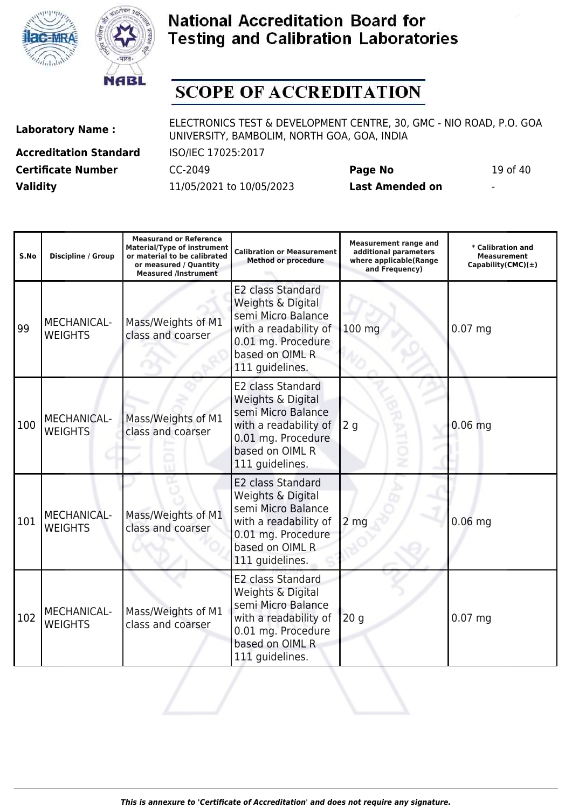



# **SCOPE OF ACCREDITATION**

Τ

**Accreditation Standard** ISO/IEC 17025:2017 **Certificate Number** CC-2049 **Page No** 19 of 40

**Laboratory Name :** ELECTRONICS TEST & DEVELOPMENT CENTRE, 30, GMC - NIO ROAD, P.O. GOA UNIVERSITY, BAMBOLIM, NORTH GOA, GOA, INDIA

 $\mathbf{I}$ 

**Validity** 11/05/2021 to 10/05/2023 **Last Amended on** -

**Measurand or Reference**

**Measurement range and**

H

| S.No | <b>Discipline / Group</b>            | <b>Material/Type of instrument</b><br>or material to be calibrated<br>or measured / Quantity<br><b>Measured /Instrument</b> | <b>Calibration or Measurement</b><br><b>Method or procedure</b>                                                                                          | measurement range and<br>additional parameters<br>where applicable(Range<br>and Frequency) | * Calibration and<br><b>Measurement</b><br>Capability(CMC) $(\pm)$ |
|------|--------------------------------------|-----------------------------------------------------------------------------------------------------------------------------|----------------------------------------------------------------------------------------------------------------------------------------------------------|--------------------------------------------------------------------------------------------|--------------------------------------------------------------------|
| 99   | MECHANICAL-<br><b>WEIGHTS</b>        | Mass/Weights of M1<br>class and coarser                                                                                     | E2 class Standard<br>Weights & Digital<br>semi Micro Balance<br>with a readability of<br>0.01 mg. Procedure<br>based on OIML R<br>111 guidelines.        | 100 mg                                                                                     | $0.07$ mg                                                          |
| 100  | <b>MECHANICAL-</b><br><b>WEIGHTS</b> | Mass/Weights of M1<br>class and coarser                                                                                     | <b>E2 class Standard</b><br>Weights & Digital<br>semi Micro Balance<br>with a readability of<br>0.01 mg. Procedure<br>based on OIML R<br>111 guidelines. | 2g<br>$\vec{c}$                                                                            | $0.06$ mg                                                          |
| 101  | <b>MECHANICAL-</b><br><b>WEIGHTS</b> | Mass/Weights of M1<br>class and coarser                                                                                     | E2 class Standard<br>Weights & Digital<br>semi Micro Balance<br>with a readability of<br>0.01 mg. Procedure<br>based on OIML R<br>111 guidelines.        | 2 <sub>mg</sub>                                                                            | $0.06$ mg                                                          |
| 102  | MECHANICAL-<br><b>WEIGHTS</b>        | Mass/Weights of M1<br>class and coarser                                                                                     | <b>E2 class Standard</b><br>Weights & Digital<br>semi Micro Balance<br>with a readability of<br>0.01 mg. Procedure<br>based on OIML R<br>111 guidelines. | 20 <sub>g</sub>                                                                            | $0.07$ mg                                                          |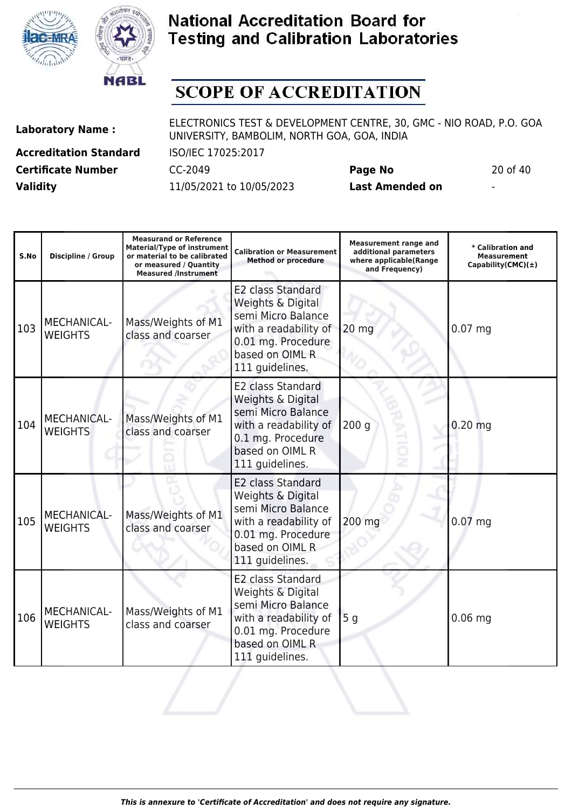



# **SCOPE OF ACCREDITATION**

**Accreditation Standard** ISO/IEC 17025:2017 **Certificate Number** CC-2049 **Page No** 20 of 40 **Validity** 11/05/2021 to 10/05/2023 **Last Amended on** -

| S.No | Discipline / Group                   | <b>Measurand or Reference</b><br><b>Material/Type of instrument</b><br>or material to be calibrated<br>or measured / Quantity<br><b>Measured /Instrument</b> | <b>Calibration or Measurement</b><br><b>Method or procedure</b>                                                                                          | <b>Measurement range and</b><br>additional parameters<br>where applicable(Range<br>and Frequency) | * Calibration and<br>Measurement<br>Capability(CMC) $(\pm)$ |
|------|--------------------------------------|--------------------------------------------------------------------------------------------------------------------------------------------------------------|----------------------------------------------------------------------------------------------------------------------------------------------------------|---------------------------------------------------------------------------------------------------|-------------------------------------------------------------|
| 103  | MECHANICAL-<br><b>WEIGHTS</b>        | Mass/Weights of M1<br>class and coarser                                                                                                                      | E2 class Standard<br>Weights & Digital<br>semi Micro Balance<br>with a readability of<br>0.01 mg. Procedure<br>based on OIML R<br>111 guidelines.        | 20 mg                                                                                             | $0.07$ mg                                                   |
| 104  | <b>MECHANICAL-</b><br><b>WEIGHTS</b> | Mass/Weights of M1<br>class and coarser                                                                                                                      | E2 class Standard<br>Weights & Digital<br>semi Micro Balance<br>with a readability of<br>0.1 mg. Procedure<br>based on OIML R<br>111 guidelines.         | 200 <sub>g</sub>                                                                                  | $0.20$ mg                                                   |
| 105  | MECHANICAL-<br><b>WEIGHTS</b>        | Mass/Weights of M1<br>class and coarser                                                                                                                      | <b>E2 class Standard</b><br>Weights & Digital<br>semi Micro Balance<br>with a readability of<br>0.01 mg. Procedure<br>based on OIML R<br>111 guidelines. | 200 mg                                                                                            | $0.07$ mg                                                   |
| 106  | MECHANICAL-<br><b>WEIGHTS</b>        | Mass/Weights of M1<br>class and coarser                                                                                                                      | E2 class Standard<br>Weights & Digital<br>semi Micro Balance<br>with a readability of<br>0.01 mg. Procedure<br>based on OIML R<br>111 guidelines.        | 5 <sub>g</sub>                                                                                    | $0.06$ mg                                                   |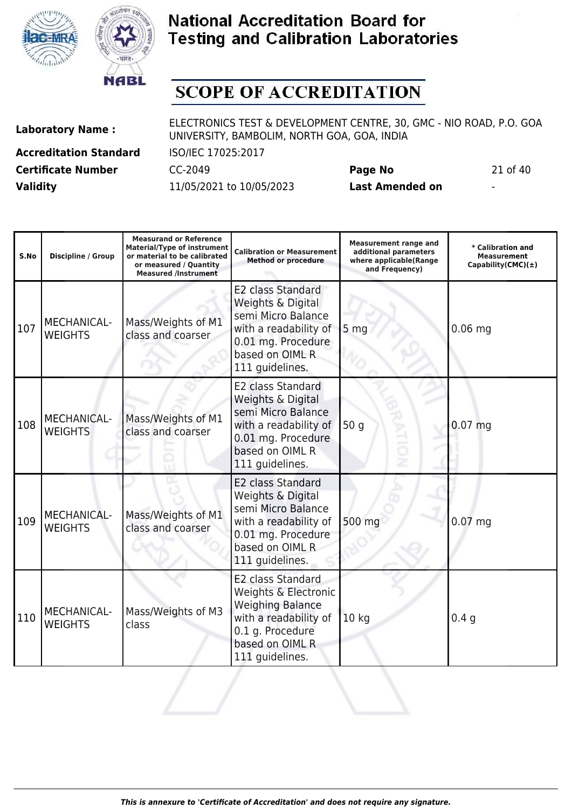



## **SCOPE OF ACCREDITATION**

**WEIGHTS** 

class

**Accreditation Standard** ISO/IEC 17025:2017 **Certificate Number** CC-2049 **Page No** 21 of 40 **Validity** 11/05/2021 to 10/05/2023 **Last Amended on** -

**Laboratory Name :** ELECTRONICS TEST & DEVELOPMENT CENTRE, 30, GMC - NIO ROAD, P.O. GOA UNIVERSITY, BAMBOLIM, NORTH GOA, GOA, INDIA

with a readability of 10 kg and 10.4 g

| S.No | <b>Discipline / Group</b>            | <b>Measurand or Reference</b><br><b>Material/Type of instrument</b><br>or material to be calibrated<br>or measured / Quantity<br><b>Measured /Instrument</b> | <b>Calibration or Measurement</b><br><b>Method or procedure</b>                                                                                          | <b>Measurement range and</b><br>additional parameters<br>where applicable(Range<br>and Frequency) | $\ast$ Calibration and<br>Measurement<br>Capability(CMC) $(\pm)$ |
|------|--------------------------------------|--------------------------------------------------------------------------------------------------------------------------------------------------------------|----------------------------------------------------------------------------------------------------------------------------------------------------------|---------------------------------------------------------------------------------------------------|------------------------------------------------------------------|
| 107  | MECHANICAL-<br><b>WEIGHTS</b>        | Mass/Weights of M1<br>class and coarser                                                                                                                      | <b>E2 class Standard</b><br>Weights & Digital<br>semi Micro Balance<br>with a readability of<br>0.01 mg. Procedure<br>based on OIML R<br>111 guidelines. | 5 <sub>mg</sub>                                                                                   | $0.06$ mg                                                        |
| 108  | <b>MECHANICAL-</b><br><b>WEIGHTS</b> | Mass/Weights of M1<br>class and coarser                                                                                                                      | E2 class Standard<br>Weights & Digital<br>semi Micro Balance<br>with a readability of<br>0.01 mg. Procedure<br>based on OIML R<br>111 guidelines.        | 50 g<br>Ë                                                                                         | $0.07$ mg                                                        |
| 109  | MECHANICAL-<br><b>WEIGHTS</b>        | Mass/Weights of M1<br>class and coarser                                                                                                                      | <b>E2 class Standard</b><br>Weights & Digital<br>semi Micro Balance<br>with a readability of<br>0.01 mg. Procedure<br>based on OIML R<br>111 guidelines. | 500 mg                                                                                            | $0.07$ mg                                                        |
| 110  | MECHANICAL-                          | Mass/Weights of M3                                                                                                                                           | <b>E2 class Standard</b><br>Weights & Electronic<br><b>Weighing Balance</b><br>with a readability of                                                     | 10 <sub>k</sub>                                                                                   | 0.4 <sub>a</sub>                                                 |

0.1 g. Procedure based on OIML R 111 guidelines.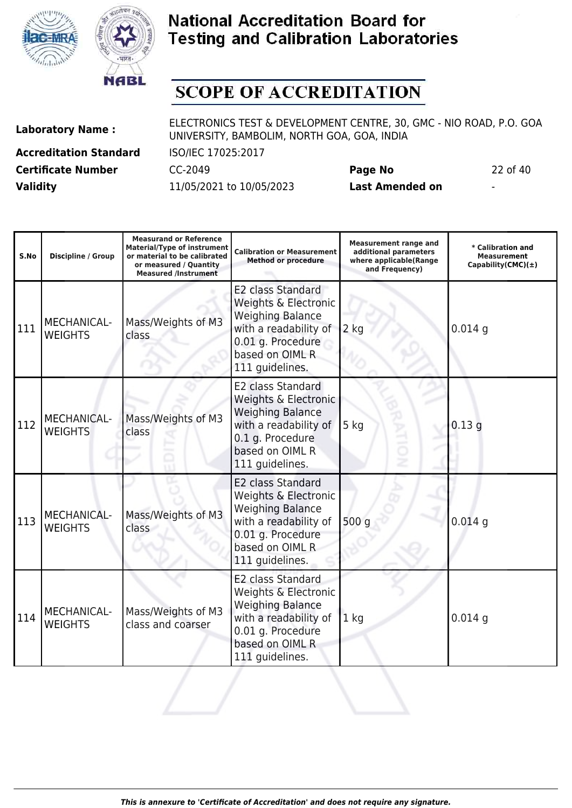



# **SCOPE OF ACCREDITATION**

**Laboratory Name :** ELECTRONICS TEST & DEVELOPMENT CENTRE, 30, GMC - NIO ROAD, P.O. GOA UNIVERSITY, BAMBOLIM, NORTH GOA, GOA, INDIA

**Accreditation Standard** ISO/IEC 17025:2017 **Certificate Number** CC-2049 **Page No** 22 of 40 **Validity** 11/05/2021 to 10/05/2023 **Last Amended on** -

| S.No | Discipline / Group            | <b>Measurand or Reference</b><br><b>Material/Type of instrument</b><br>or material to be calibrated<br>or measured / Quantity<br><b>Measured /Instrument</b> | <b>Calibration or Measurement</b><br><b>Method or procedure</b>                                                                                                 | <b>Measurement range and</b><br>additional parameters<br>where applicable(Range<br>and Frequency) | * Calibration and<br><b>Measurement</b><br>Capability(CMC) $(\pm)$ |
|------|-------------------------------|--------------------------------------------------------------------------------------------------------------------------------------------------------------|-----------------------------------------------------------------------------------------------------------------------------------------------------------------|---------------------------------------------------------------------------------------------------|--------------------------------------------------------------------|
| 111  | MECHANICAL-<br><b>WEIGHTS</b> | Mass/Weights of M3<br>class                                                                                                                                  | E2 class Standard<br>Weights & Electronic<br><b>Weighing Balance</b><br>with a readability of<br>0.01 g. Procedure<br>based on OIML R<br>111 guidelines.        | $2$ kg                                                                                            | $0.014$ g                                                          |
| 112  | MECHANICAL-<br><b>WEIGHTS</b> | Mass/Weights of M3<br>class                                                                                                                                  | E2 class Standard<br>Weights & Electronic<br><b>Weighing Balance</b><br>with a readability of<br>0.1 g. Procedure<br>based on OIML R<br>111 guidelines.         | $5$ kg<br>PILIP                                                                                   | 0.13q                                                              |
| 113  | MECHANICAL-<br><b>WEIGHTS</b> | Mass/Weights of M3<br>class                                                                                                                                  | <b>E2 class Standard</b><br>Weights & Electronic<br><b>Weighing Balance</b><br>with a readability of<br>0.01 g. Procedure<br>based on OIML R<br>111 guidelines. | 500q                                                                                              | $0.014$ g                                                          |
| 114  | MECHANICAL-<br><b>WEIGHTS</b> | Mass/Weights of M3<br>class and coarser                                                                                                                      | E2 class Standard<br>Weights & Electronic<br><b>Weighing Balance</b><br>with a readability of<br>0.01 g. Procedure<br>based on OIML R<br>111 guidelines.        | 1 <sub>kg</sub>                                                                                   | $0.014$ g                                                          |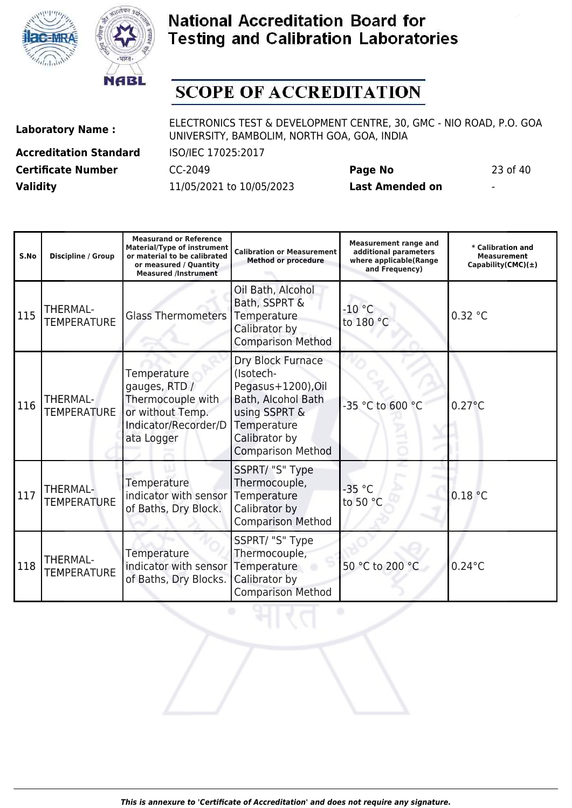



# **SCOPE OF ACCREDITATION**

**Laboratory Name :** ELECTRONICS TEST & DEVELOPMENT CENTRE, 30, GMC - NIO ROAD, P.O. GOA UNIVERSITY, BAMBOLIM, NORTH GOA, GOA, INDIA

**Accreditation Standard** ISO/IEC 17025:2017 **Certificate Number** CC-2049 **Page No** 23 of 40 **Validity** 11/05/2021 to 10/05/2023 **Last Amended on** -

| S.No | <b>Discipline / Group</b>             | <b>Measurand or Reference</b><br><b>Material/Type of instrument</b><br>or material to be calibrated<br>or measured / Quantity<br><b>Measured /Instrument</b> | <b>Calibration or Measurement</b><br><b>Method or procedure</b>                                                                                         | <b>Measurement range and</b><br>additional parameters<br>where applicable(Range<br>and Frequency) | * Calibration and<br><b>Measurement</b><br>Capability(CMC) $(\pm)$ |
|------|---------------------------------------|--------------------------------------------------------------------------------------------------------------------------------------------------------------|---------------------------------------------------------------------------------------------------------------------------------------------------------|---------------------------------------------------------------------------------------------------|--------------------------------------------------------------------|
| 115  | <b>THERMAL-</b><br><b>TEMPERATURE</b> | <b>Glass Thermometers</b>                                                                                                                                    | Oil Bath, Alcohol<br>Bath, SSPRT &<br>Temperature<br>Calibrator by<br><b>Comparison Method</b>                                                          | $-10$ °C<br>to 180 °C                                                                             | 0.32 °C                                                            |
| 116  | <b>THERMAL-</b><br><b>TEMPERATURE</b> | Temperature<br>gauges, RTD /<br>Thermocouple with<br>or without Temp.<br>Indicator/Recorder/D<br>ata Logger                                                  | Dry Block Furnace<br>(Isotech-<br>Pegasus+1200), Oil<br>Bath, Alcohol Bath<br>using SSPRT &<br>Temperature<br>Calibrator by<br><b>Comparison Method</b> | -35 °C to 600 °C                                                                                  | $0.27^{\circ}$ C                                                   |
| 117  | THERMAL-<br><b>TEMPERATURE</b>        | Temperature<br>indicator with sensor<br>of Baths, Dry Block.                                                                                                 | SSPRT/ "S" Type<br>Thermocouple,<br>Temperature<br>Calibrator by<br><b>Comparison Method</b>                                                            | $-35$ °C<br>to 50 °C                                                                              | 0.18 °C                                                            |
| 118  | <b>THERMAL-</b><br><b>TEMPERATURE</b> | Temperature<br>indicator with sensor<br>of Baths, Dry Blocks.                                                                                                | SSPRT/ "S" Type<br>Thermocouple,<br>Temperature<br>Calibrator by                                                                                        | 50 °C to 200 °C                                                                                   | $0.24$ °C                                                          |

Comparison Method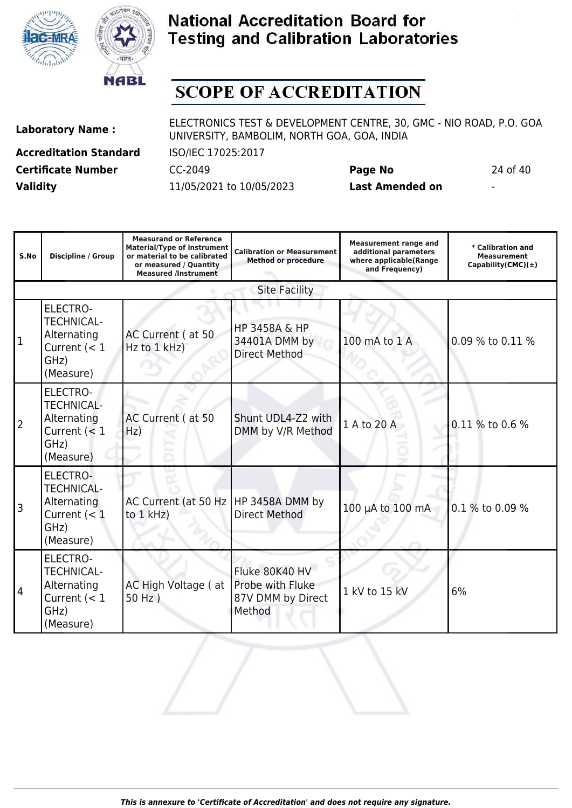



# **SCOPE OF ACCREDITATION**

**Accreditation Standard** ISO/IEC 17025:2017 **Certificate Number** CC-2049 **Page No** 24 of 40 **Validity** 11/05/2021 to 10/05/2023 **Last Amended on** -

(Measure)

| S.No           | Discipline / Group                                                                         | <b>Measurand or Reference</b><br><b>Material/Type of instrument</b><br>or material to be calibrated<br>or measured / Quantity<br><b>Measured /Instrument</b> | <b>Calibration or Measurement</b><br><b>Method or procedure</b>   | <b>Measurement range and</b><br>additional parameters<br>where applicable(Range<br>and Frequency) | * Calibration and<br><b>Measurement</b><br>Capability(CMC) $(\pm)$ |
|----------------|--------------------------------------------------------------------------------------------|--------------------------------------------------------------------------------------------------------------------------------------------------------------|-------------------------------------------------------------------|---------------------------------------------------------------------------------------------------|--------------------------------------------------------------------|
|                |                                                                                            |                                                                                                                                                              | <b>Site Facility</b>                                              |                                                                                                   |                                                                    |
| 1              | <b>ELECTRO-</b><br><b>TECHNICAL-</b><br>Alternating<br>Current $(< 1$<br>GHz)<br>(Measure) | AC Current (at 50<br>Hz to 1 kHz)                                                                                                                            | <b>HP 3458A &amp; HP</b><br>34401A DMM by<br><b>Direct Method</b> | 100 mA to 1 A                                                                                     | 0.09 % to 0.11 %                                                   |
| $\overline{2}$ | <b>ELECTRO-</b><br><b>TECHNICAL-</b><br>Alternating<br>Current $(< 1$<br>GHz)<br>(Measure) | AC Current (at 50<br>Hz)                                                                                                                                     | Shunt UDL4-Z2 with<br>DMM by V/R Method                           | 1 A to 20 A                                                                                       | 0.11 % to 0.6 %                                                    |
| 3              | <b>ELECTRO-</b><br><b>TECHNICAL-</b><br>Alternating<br>Current $(< 1$<br>GHz)<br>(Measure) | AC Current (at 50 Hz<br>to 1 kHz)                                                                                                                            | HP 3458A DMM by<br><b>Direct Method</b>                           | 100 µA to 100 mA                                                                                  | 0.1 % to 0.09 %                                                    |
| 4              | <b>ELECTRO-</b><br><b>TECHNICAL-</b><br>Alternating<br>Current $(< 1$<br>GHz)              | AC High Voltage (at<br>50 Hz)                                                                                                                                | Fluke 80K40 HV<br>Probe with Fluke<br>87V DMM by Direct<br>Method | 1 kV to 15 kV                                                                                     | 6%                                                                 |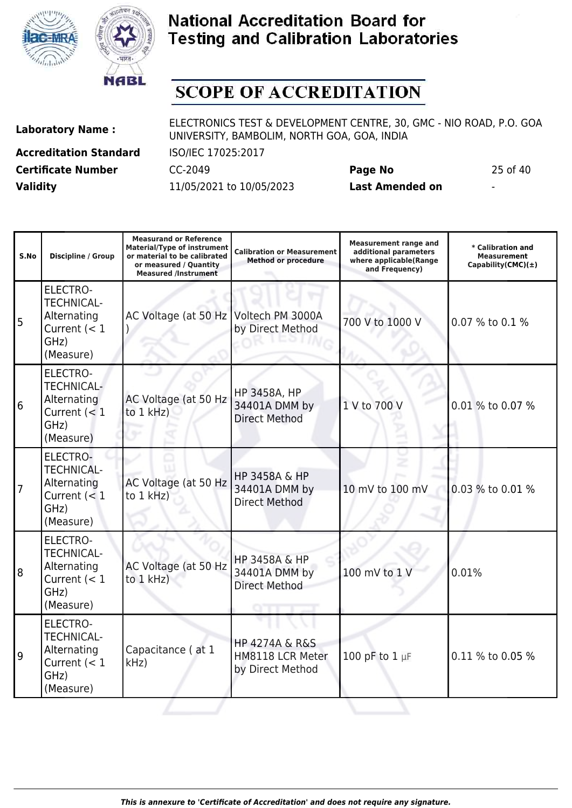



## **SCOPE OF ACCREDITATION**

**Accreditation Standard** ISO/IEC 17025:2017 **Certificate Number** CC-2049 **Page No** 25 of 40 **Validity** 11/05/2021 to 10/05/2023 **Last Amended on** -

**Laboratory Name :** ELECTRONICS TEST & DEVELOPMENT CENTRE, 30, GMC - NIO ROAD, P.O. GOA UNIVERSITY, BAMBOLIM, NORTH GOA, GOA, INDIA

**Measurand or Reference**

**Measurement range and**

| ۰,<br>v. | וו<br>п<br>۰,<br>× |  |
|----------|--------------------|--|
|          |                    |  |
|          |                    |  |

| S.No           | <b>Discipline / Group</b>                                                                  | <b>Material/Type of instrument</b><br>or material to be calibrated<br>or measured / Quantity<br><b>Measured /Instrument</b> | <b>Calibration or Measurement</b><br><b>Method or procedure</b>       | <b>Measurement range and</b><br>additional parameters<br>where applicable(Range<br>and Frequency) | * Calibration and<br><b>Measurement</b><br>Capability(CMC) $(\pm)$ |
|----------------|--------------------------------------------------------------------------------------------|-----------------------------------------------------------------------------------------------------------------------------|-----------------------------------------------------------------------|---------------------------------------------------------------------------------------------------|--------------------------------------------------------------------|
| 5              | <b>ELECTRO-</b><br><b>TECHNICAL-</b><br>Alternating<br>Current $(< 1$<br>GHz)<br>(Measure) | AC Voltage (at 50 Hz Voltech PM 3000A                                                                                       | by Direct Method                                                      | 700 V to 1000 V                                                                                   | 0.07 % to 0.1 %                                                    |
| 6              | <b>ELECTRO-</b><br><b>TECHNICAL-</b><br>Alternating<br>Current $(< 1$<br>GHz)<br>(Measure) | AC Voltage (at 50 Hz<br>to $1$ kHz)                                                                                         | <b>HP 3458A, HP</b><br>34401A DMM by<br><b>Direct Method</b>          | 1 V to 700 V                                                                                      | 0.01 % to 0.07 %                                                   |
| $\overline{7}$ | ELECTRO-<br><b>TECHNICAL-</b><br>Alternating<br>Current $(< 1$<br>GHz)<br>(Measure)        | AC Voltage (at 50 Hz<br>to $1$ kHz)                                                                                         | HP 3458A & HP<br>34401A DMM by<br><b>Direct Method</b>                | 10 mV to 100 mV                                                                                   | 0.03 % to 0.01 %                                                   |
| 8              | <b>ELECTRO-</b><br><b>TECHNICAL-</b><br>Alternating<br>Current $(< 1$<br>GHz)<br>(Measure) | AC Voltage (at 50 Hz<br>to 1 kHz)                                                                                           | HP 3458A & HP<br>34401A DMM by<br><b>Direct Method</b>                | 100 mV to 1 V                                                                                     | 0.01%                                                              |
| 9              | <b>ELECTRO-</b><br><b>TECHNICAL-</b><br>Alternating<br>Current $(< 1$<br>GHz)<br>(Measure) | Capacitance (at 1<br>kHz)                                                                                                   | <b>HP 4274A &amp; R&amp;S</b><br>HM8118 LCR Meter<br>by Direct Method | 100 pF to $1 \mu F$                                                                               | 0.11 % to 0.05 %                                                   |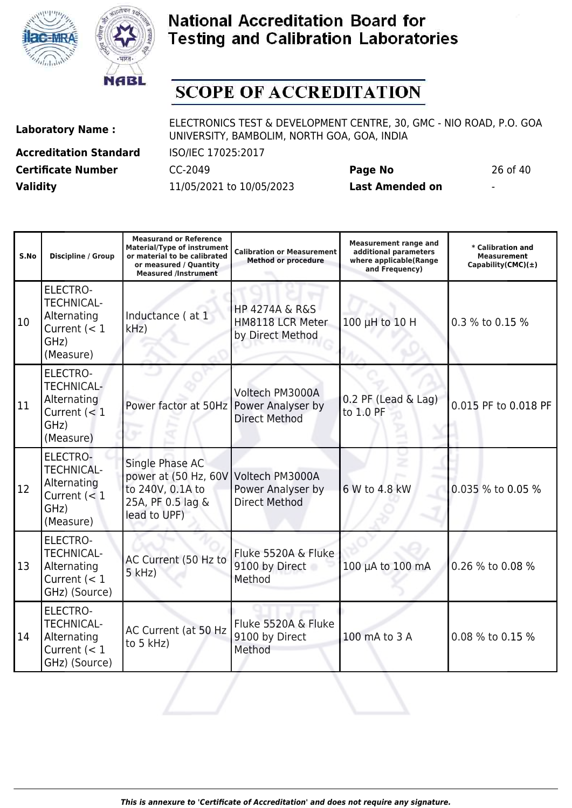



# **SCOPE OF ACCREDITATION**

Τ

**Accreditation Standard** ISO/IEC 17025:2017 **Certificate Number** CC-2049 **Page No** 26 of 40 **Validity** 11/05/2021 to 10/05/2023 **Last Amended on** -

**Laboratory Name :** ELECTRONICS TEST & DEVELOPMENT CENTRE, 30, GMC - NIO ROAD, P.O. GOA UNIVERSITY, BAMBOLIM, NORTH GOA, GOA, INDIA

**Measurand or Reference**

| S.No | <b>Discipline / Group</b>                                                                  | <b>Material/Type of instrument</b><br>or material to be calibrated<br>or measured / Quantity<br><b>Measured /Instrument</b> | <b>Calibration or Measurement</b><br><b>Method or procedure</b>       | <b>Measurement range and</b><br>additional parameters<br>where applicable(Range<br>and Frequency) | * Calibration and<br><b>Measurement</b><br>Capability(CMC) $(\pm)$ |
|------|--------------------------------------------------------------------------------------------|-----------------------------------------------------------------------------------------------------------------------------|-----------------------------------------------------------------------|---------------------------------------------------------------------------------------------------|--------------------------------------------------------------------|
| 10   | <b>ELECTRO-</b><br><b>TECHNICAL-</b><br>Alternating<br>Current $(< 1$<br>GHz)<br>(Measure) | Inductance (at 1<br>kHz                                                                                                     | <b>HP 4274A &amp; R&amp;S</b><br>HM8118 LCR Meter<br>by Direct Method | 100 µH to 10 H                                                                                    | 0.3 % to 0.15 %                                                    |
| 11   | <b>ELECTRO-</b><br><b>TECHNICAL-</b><br>Alternating<br>Current $(< 1$<br>GHz)<br>(Measure) | Power factor at 50Hz                                                                                                        | Voltech PM3000A<br>Power Analyser by<br><b>Direct Method</b>          | 0.2 PF (Lead & Lag)<br>to 1.0 PF                                                                  | 0.015 PF to 0.018 PF                                               |
| 12   | <b>ELECTRO-</b><br><b>TECHNICAL-</b><br>Alternating<br>Current $(< 1$<br>GHz)<br>(Measure) | Single Phase AC<br>power at (50 Hz, 60V<br>to 240V, 0.1A to<br>25A, PF 0.5 lag &<br>lead to UPF)                            | Voltech PM3000A<br>Power Analyser by<br><b>Direct Method</b>          | 6 W to 4.8 kW                                                                                     | 0.035 % to 0.05 %                                                  |
| 13   | <b>ELECTRO-</b><br><b>TECHNICAL-</b><br>Alternating<br>Current $(< 1$<br>GHz) (Source)     | AC Current (50 Hz to<br>$5$ kHz)                                                                                            | Fluke 5520A & Fluke<br>9100 by Direct<br>Method                       | 100 µA to 100 mA                                                                                  | 0.26 % to 0.08 %                                                   |
| 14   | <b>ELECTRO-</b><br><b>TECHNICAL-</b><br>Alternating<br>Current $(< 1$<br>GHz) (Source)     | AC Current (at 50 Hz<br>to 5 kHz)                                                                                           | Fluke 5520A & Fluke<br>9100 by Direct<br>Method                       | 100 mA to 3 A                                                                                     | 0.08 % to 0.15 %                                                   |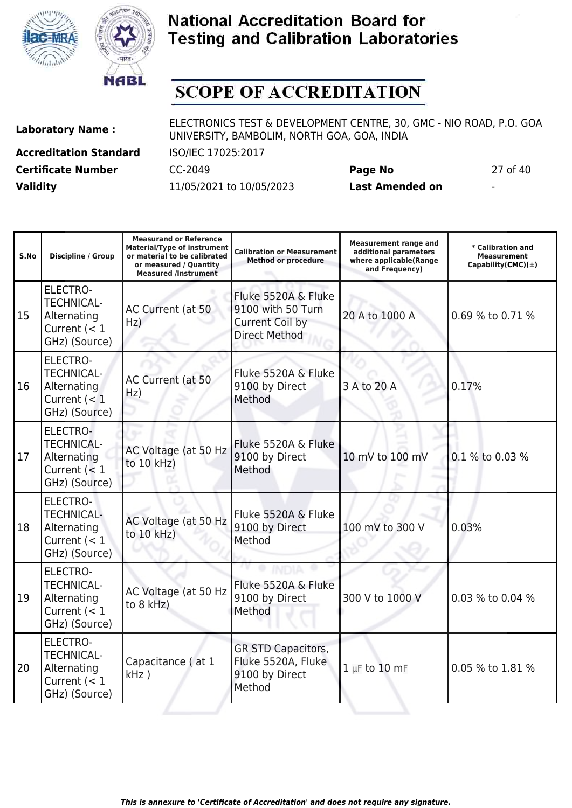



# **SCOPE OF ACCREDITATION**

**Laboratory Name :** ELECTRONICS TEST & DEVELOPMENT CENTRE, 30, GMC - NIO ROAD, P.O. GOA UNIVERSITY, BAMBOLIM, NORTH GOA, GOA, INDIA

**Accreditation Standard** ISO/IEC 17025:2017 **Certificate Number** CC-2049 **Page No** 27 of 40 **Validity** 11/05/2021 to 10/05/2023 **Last Amended on** -

| S.No | <b>Discipline / Group</b>                                                              | <b>Measurand or Reference</b><br><b>Material/Type of instrument</b><br>or material to be calibrated<br>or measured / Quantity<br><b>Measured /Instrument</b> | <b>Calibration or Measurement</b><br><b>Method or procedure</b>                     | <b>Measurement range and</b><br>additional parameters<br>where applicable(Range<br>and Frequency) | * Calibration and<br><b>Measurement</b><br>Capability(CMC) $(\pm)$ |
|------|----------------------------------------------------------------------------------------|--------------------------------------------------------------------------------------------------------------------------------------------------------------|-------------------------------------------------------------------------------------|---------------------------------------------------------------------------------------------------|--------------------------------------------------------------------|
| 15   | <b>ELECTRO-</b><br><b>TECHNICAL-</b><br>Alternating<br>Current $(< 1$<br>GHz) (Source) | AC Current (at 50<br>Hz)                                                                                                                                     | Fluke 5520A & Fluke<br>9100 with 50 Turn<br>Current Coil by<br><b>Direct Method</b> | 20 A to 1000 A                                                                                    | 0.69 % to 0.71 %                                                   |
| 16   | <b>ELECTRO-</b><br><b>TECHNICAL-</b><br>Alternating<br>Current $(< 1$<br>GHz) (Source) | AC Current (at 50<br>Hz)                                                                                                                                     | Fluke 5520A & Fluke<br>9100 by Direct<br>Method                                     | 3 A to 20 A                                                                                       | 0.17%                                                              |
| 17   | ELECTRO-<br><b>TECHNICAL-</b><br>Alternating<br>Current $(< 1$<br>GHz) (Source)        | AC Voltage (at 50 Hz<br>to 10 kHz)                                                                                                                           | Fluke 5520A & Fluke<br>9100 by Direct<br>Method                                     | 10 mV to 100 mV                                                                                   | 0.1 % to 0.03 %                                                    |
| 18   | <b>ELECTRO-</b><br><b>TECHNICAL-</b><br>Alternating<br>Current $(< 1$<br>GHz) (Source) | AC Voltage (at 50 Hz<br>to 10 kHz)                                                                                                                           | Fluke 5520A & Fluke<br>9100 by Direct<br>Method                                     | 100 mV to 300 V                                                                                   | 0.03%                                                              |
| 19   | <b>ELECTRO-</b><br><b>TECHNICAL-</b><br>Alternating<br>Current $(< 1$<br>GHz) (Source) | AC Voltage (at 50 Hz<br>to 8 kHz)                                                                                                                            | Fluke 5520A & Fluke<br>9100 by Direct<br>Method                                     | 300 V to 1000 V                                                                                   | 0.03 % to 0.04 %                                                   |
| 20   | <b>ELECTRO-</b><br><b>TECHNICAL-</b><br>Alternating<br>Current $(< 1$<br>GHz) (Source) | Capacitance (at 1<br>$kHz$ )                                                                                                                                 | <b>GR STD Capacitors,</b><br>Fluke 5520A, Fluke<br>9100 by Direct<br>Method         | $1 \mu F$ to $10 \text{ mF}$                                                                      | 0.05 % to 1.81 %                                                   |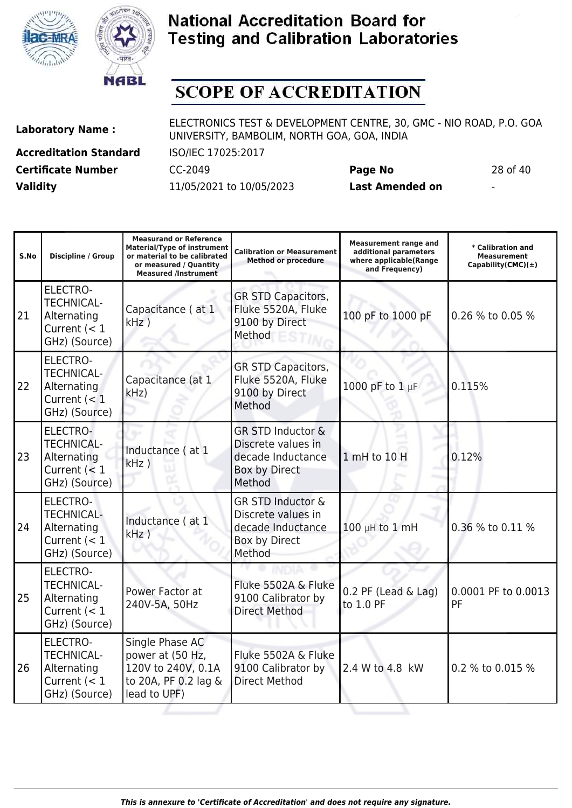



## **SCOPE OF ACCREDITATION**

**Laboratory Name :** ELECTRONICS TEST & DEVELOPMENT CENTRE, 30, GMC - NIO ROAD, P.O. GOA UNIVERSITY, BAMBOLIM, NORTH GOA, GOA, INDIA

**Accreditation Standard** ISO/IEC 17025:2017 **Certificate Number** CC-2049 **Page No** 28 of 40 **Validity** 11/05/2021 to 10/05/2023 **Last Amended on** -

**Measurand or Reference**

- 1

| 28 OI |  |
|-------|--|
|       |  |

| S.No | <b>Discipline / Group</b>                                                              | <b>Measurand or Reference</b><br><b>Material/Type of instrument</b><br>or material to be calibrated<br>or measured / Quantity<br><b>Measured /Instrument</b> | <b>Calibration or Measurement</b><br><b>Method or procedure</b>                                    | <b>Measurement range and</b><br>additional parameters<br>where applicable(Range<br>and Frequency) | * Calibration and<br><b>Measurement</b><br>Capability(CMC) $(\pm)$ |
|------|----------------------------------------------------------------------------------------|--------------------------------------------------------------------------------------------------------------------------------------------------------------|----------------------------------------------------------------------------------------------------|---------------------------------------------------------------------------------------------------|--------------------------------------------------------------------|
| 21   | <b>ELECTRO-</b><br><b>TECHNICAL-</b><br>Alternating<br>Current $(< 1$<br>GHz) (Source) | Capacitance (at 1<br>$kHz$ )                                                                                                                                 | GR STD Capacitors,<br>Fluke 5520A, Fluke<br>9100 by Direct<br>Method                               | 100 pF to 1000 pF                                                                                 | 0.26 % to 0.05 %                                                   |
| 22   | <b>ELECTRO-</b><br><b>TECHNICAL-</b><br>Alternating<br>Current $(< 1$<br>GHz) (Source) | Capacitance (at 1<br>kHz                                                                                                                                     | <b>GR STD Capacitors,</b><br>Fluke 5520A, Fluke<br>9100 by Direct<br>Method                        | 1000 pF to 1 µF                                                                                   | 0.115%                                                             |
| 23   | ELECTRO-<br><b>TECHNICAL-</b><br>Alternating<br>Current $(< 1$<br>GHz) (Source)        | Inductance (at 1<br>$kHz$ )                                                                                                                                  | <b>GR STD Inductor &amp;</b><br>Discrete values in<br>decade Inductance<br>Box by Direct<br>Method | 1 mH to 10 H                                                                                      | 0.12%                                                              |
| 24   | ELECTRO-<br><b>TECHNICAL-</b><br>Alternating<br>Current $(< 1$<br>GHz) (Source)        | Inductance (at 1<br>kHz)                                                                                                                                     | <b>GR STD Inductor &amp;</b><br>Discrete values in<br>decade Inductance<br>Box by Direct<br>Method | 100 µH to 1 mH                                                                                    | 0.36 % to 0.11 %                                                   |
| 25   | ELECTRO-<br><b>TECHNICAL-</b><br>Alternating<br>Current $(< 1$<br>GHz) (Source)        | Power Factor at<br>240V-5A, 50Hz                                                                                                                             | Fluke 5502A & Fluke<br>9100 Calibrator by<br><b>Direct Method</b>                                  | $0.2$ PF (Lead & Lag)<br>to 1.0 PF                                                                | 0.0001 PF to 0.0013<br>PF                                          |
| 26   | ELECTRO-<br><b>TECHNICAL-</b><br>Alternating<br>Current $(< 1$<br>GHz) (Source)        | Single Phase AC<br>power at (50 Hz,<br>120V to 240V, 0.1A<br>to 20A, PF 0.2 lag &<br>lead to UPF)                                                            | Fluke 5502A & Fluke<br>9100 Calibrator by<br><b>Direct Method</b>                                  | 2.4 W to 4.8 kW                                                                                   | 0.2 % to 0.015 %                                                   |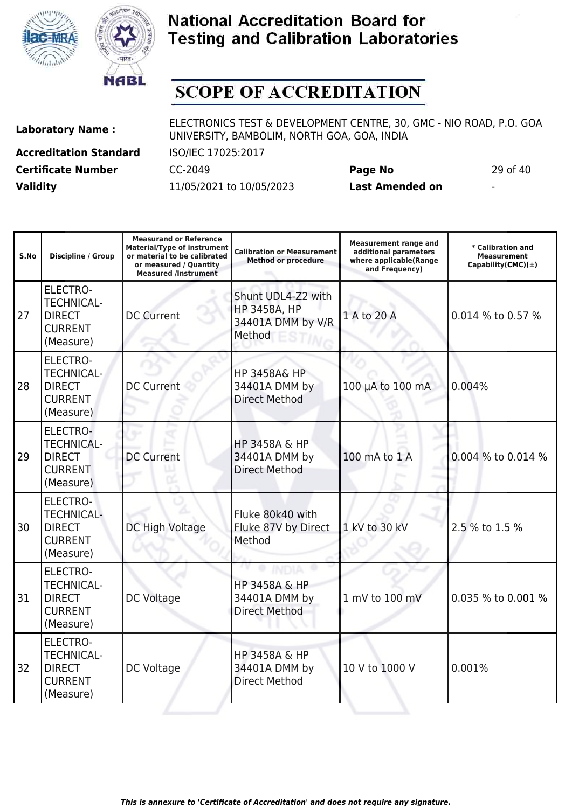



# **SCOPE OF ACCREDITATION**

**Accreditation Standard** ISO/IEC 17025:2017 **Certificate Number** CC-2049 **Page No** 29 of 40 **Validity** 11/05/2021 to 10/05/2023 **Last Amended on** -

| S.No | <b>Discipline / Group</b>                                                            | <b>Measurand or Reference</b><br><b>Material/Type of instrument</b><br>or material to be calibrated<br>or measured / Quantity<br><b>Measured /Instrument</b> | <b>Calibration or Measurement</b><br><b>Method or procedure</b>          | <b>Measurement range and</b><br>additional parameters<br>where applicable(Range<br>and Frequency) | * Calibration and<br><b>Measurement</b><br>Capability(CMC) $(\pm)$ |
|------|--------------------------------------------------------------------------------------|--------------------------------------------------------------------------------------------------------------------------------------------------------------|--------------------------------------------------------------------------|---------------------------------------------------------------------------------------------------|--------------------------------------------------------------------|
| 27   | ELECTRO-<br><b>TECHNICAL-</b><br><b>DIRECT</b><br><b>CURRENT</b><br>(Measure)        | <b>DC Current</b>                                                                                                                                            | Shunt UDL4-Z2 with<br><b>HP 3458A, HP</b><br>34401A DMM by V/R<br>Method | 1 A to 20 A                                                                                       | 0.014 % to 0.57 %                                                  |
| 28   | <b>ELECTRO-</b><br><b>TECHNICAL-</b><br><b>DIRECT</b><br><b>CURRENT</b><br>(Measure) | <b>DC Current</b>                                                                                                                                            | <b>HP 3458A&amp; HP</b><br>34401A DMM by<br><b>Direct Method</b>         | 100 µA to 100 mA                                                                                  | 0.004%                                                             |
| 29   | ELECTRO-<br><b>TECHNICAL-</b><br><b>DIRECT</b><br><b>CURRENT</b><br>(Measure)        | <b>DC Current</b>                                                                                                                                            | <b>HP 3458A &amp; HP</b><br>34401A DMM by<br><b>Direct Method</b>        | 100 mA to 1 A                                                                                     | 0.004 % to 0.014 %                                                 |
| 30   | <b>ELECTRO-</b><br><b>TECHNICAL-</b><br><b>DIRECT</b><br><b>CURRENT</b><br>(Measure) | DC High Voltage                                                                                                                                              | Fluke 80k40 with<br>Fluke 87V by Direct<br>Method                        | 1 kV to 30 kV                                                                                     | 2.5 % to 1.5 %                                                     |
| 31   | <b>ELECTRO-</b><br><b>TECHNICAL-</b><br><b>DIRECT</b><br><b>CURRENT</b><br>(Measure) | DC Voltage                                                                                                                                                   | <b>HP 3458A &amp; HP</b><br>34401A DMM by<br><b>Direct Method</b>        | 1 mV to 100 mV                                                                                    | 0.035 % to 0.001 %                                                 |
| 32   | <b>ELECTRO-</b><br><b>TECHNICAL-</b><br><b>DIRECT</b><br><b>CURRENT</b><br>(Measure) | DC Voltage                                                                                                                                                   | HP 3458A & HP<br>34401A DMM by<br><b>Direct Method</b>                   | 10 V to 1000 V                                                                                    | 0.001%                                                             |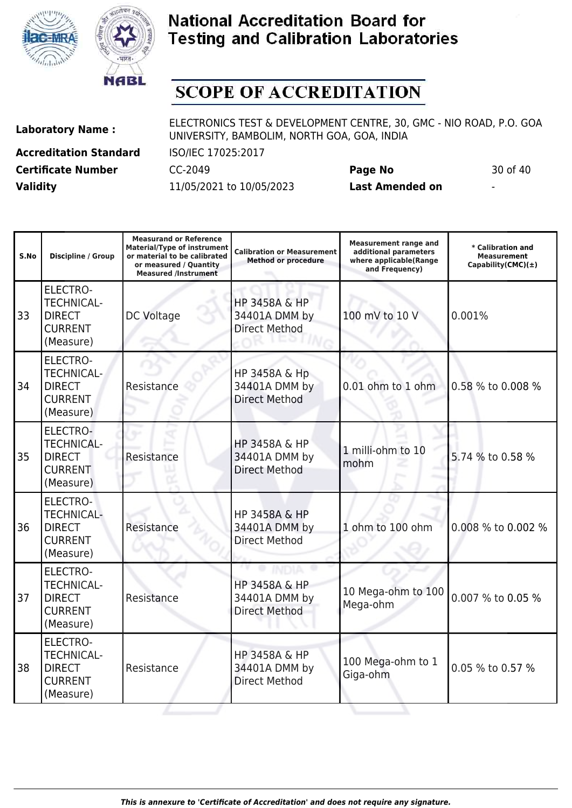



# **SCOPE OF ACCREDITATION**

**Accreditation Standard** ISO/IEC 17025:2017 **Certificate Number** CC-2049 **Page No** 30 of 40 **Validity** 11/05/2021 to 10/05/2023 **Last Amended on** -

| S.No | <b>Discipline / Group</b>                                                            | <b>Measurand or Reference</b><br><b>Material/Type of instrument</b><br>or material to be calibrated<br>or measured / Quantity<br><b>Measured /Instrument</b> | <b>Calibration or Measurement</b><br><b>Method or procedure</b>   | <b>Measurement range and</b><br>additional parameters<br>where applicable(Range<br>and Frequency) | * Calibration and<br>Measurement<br>Capability(CMC) $(\pm)$ |
|------|--------------------------------------------------------------------------------------|--------------------------------------------------------------------------------------------------------------------------------------------------------------|-------------------------------------------------------------------|---------------------------------------------------------------------------------------------------|-------------------------------------------------------------|
| 33   | <b>ELECTRO-</b><br><b>TECHNICAL-</b><br><b>DIRECT</b><br><b>CURRENT</b><br>(Measure) | <b>DC Voltage</b>                                                                                                                                            | <b>HP 3458A &amp; HP</b><br>34401A DMM by<br><b>Direct Method</b> | 100 mV to 10 V                                                                                    | 0.001%                                                      |
| 34   | <b>ELECTRO-</b><br><b>TECHNICAL-</b><br><b>DIRECT</b><br><b>CURRENT</b><br>(Measure) | Resistance                                                                                                                                                   | HP 3458A & Hp<br>34401A DMM by<br><b>Direct Method</b>            | 0.01 ohm to 1 ohm                                                                                 | 0.58 % to 0.008 %                                           |
| 35   | ELECTRO-<br><b>TECHNICAL-</b><br><b>DIRECT</b><br><b>CURRENT</b><br>(Measure)        | Resistance                                                                                                                                                   | <b>HP 3458A &amp; HP</b><br>34401A DMM by<br><b>Direct Method</b> | 1 milli-ohm to 10<br>mohm                                                                         | 5.74 % to 0.58 %                                            |
| 36   | <b>ELECTRO-</b><br><b>TECHNICAL-</b><br><b>DIRECT</b><br><b>CURRENT</b><br>(Measure) | Resistance                                                                                                                                                   | HP 3458A & HP<br>34401A DMM by<br><b>Direct Method</b>            | 1 ohm to 100 ohm                                                                                  | 0.008 % to 0.002 %                                          |
| 37   | <b>ELECTRO-</b><br><b>TECHNICAL-</b><br><b>DIRECT</b><br><b>CURRENT</b><br>(Measure) | Resistance                                                                                                                                                   | <b>HP 3458A &amp; HP</b><br>34401A DMM by<br><b>Direct Method</b> | 10 Mega-ohm to 100<br>Mega-ohm                                                                    | 0.007 % to 0.05 %                                           |
| 38   | <b>ELECTRO-</b><br><b>TECHNICAL-</b><br><b>DIRECT</b><br><b>CURRENT</b><br>(Measure) | Resistance                                                                                                                                                   | HP 3458A & HP<br>34401A DMM by<br><b>Direct Method</b>            | 100 Mega-ohm to 1<br>Giga-ohm                                                                     | 0.05 % to 0.57 %                                            |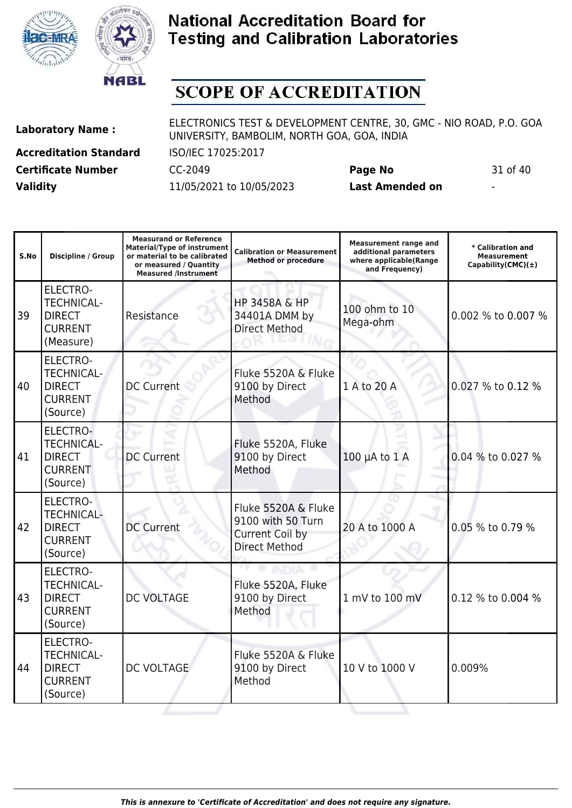



# **SCOPE OF ACCREDITATION**

**Accreditation Standard** ISO/IEC 17025:2017 **Certificate Number** CC-2049 **Page No** 31 of 40 **Validity** 11/05/2021 to 10/05/2023 **Last Amended on** -

**Laboratory Name :** ELECTRONICS TEST & DEVELOPMENT CENTRE, 30, GMC - NIO ROAD, P.O. GOA UNIVERSITY, BAMBOLIM, NORTH GOA, GOA, INDIA

**Measurand or Reference**

| S.No | Discipline / Group                                                                   | <b>Measurand or Reference</b><br><b>Material/Type of instrument</b><br>or material to be calibrated<br>or measured / Quantity<br><b>Measured /Instrument</b> | <b>Calibration or Measurement</b><br><b>Method or procedure</b>                            | <b>Measurement range and</b><br>additional parameters<br>where applicable(Range<br>and Frequency) | * Calibration and<br>Measurement<br>Capability(CMC) $(\pm)$ |
|------|--------------------------------------------------------------------------------------|--------------------------------------------------------------------------------------------------------------------------------------------------------------|--------------------------------------------------------------------------------------------|---------------------------------------------------------------------------------------------------|-------------------------------------------------------------|
| 39   | <b>ELECTRO-</b><br><b>TECHNICAL-</b><br><b>DIRECT</b><br><b>CURRENT</b><br>(Measure) | Resistance                                                                                                                                                   | <b>HP 3458A &amp; HP</b><br>34401A DMM by<br><b>Direct Method</b>                          | 100 ohm to 10<br>Mega-ohm                                                                         | 0.002 % to 0.007 %                                          |
| 40   | <b>ELECTRO-</b><br><b>TECHNICAL-</b><br><b>DIRECT</b><br><b>CURRENT</b><br>(Source)  | <b>DC Current</b>                                                                                                                                            | Fluke 5520A & Fluke<br>9100 by Direct<br>Method                                            | 1 A to 20 A                                                                                       | 0.027 % to 0.12 %                                           |
| 41   | ELECTRO-<br><b>TECHNICAL-</b><br><b>DIRECT</b><br><b>CURRENT</b><br>(Source)         | <b>DC Current</b>                                                                                                                                            | Fluke 5520A, Fluke<br>9100 by Direct<br>Method                                             | $100 \mu A$ to $1 A$                                                                              | 0.04 % to 0.027 %                                           |
| 42   | <b>ELECTRO-</b><br><b>TECHNICAL-</b><br><b>DIRECT</b><br><b>CURRENT</b><br>(Source)  | <b>DC Current</b>                                                                                                                                            | Fluke 5520A & Fluke<br>9100 with 50 Turn<br><b>Current Coil by</b><br><b>Direct Method</b> | 20 A to 1000 A                                                                                    | 0.05 % to 0.79 %                                            |
| 43   | <b>ELECTRO-</b><br><b>TECHNICAL-</b><br><b>DIRECT</b><br><b>CURRENT</b><br>(Source)  | <b>DC VOLTAGE</b>                                                                                                                                            | Fluke 5520A, Fluke<br>9100 by Direct<br>Method                                             | 1 mV to 100 mV                                                                                    | 0.12 % to 0.004 %                                           |
| 44   | ELECTRO-<br><b>TECHNICAL-</b><br><b>DIRECT</b><br><b>CURRENT</b><br>(Source)         | <b>DC VOLTAGE</b>                                                                                                                                            | Fluke 5520A & Fluke<br>9100 by Direct<br>Method                                            | 10 V to 1000 V                                                                                    | 0.009%                                                      |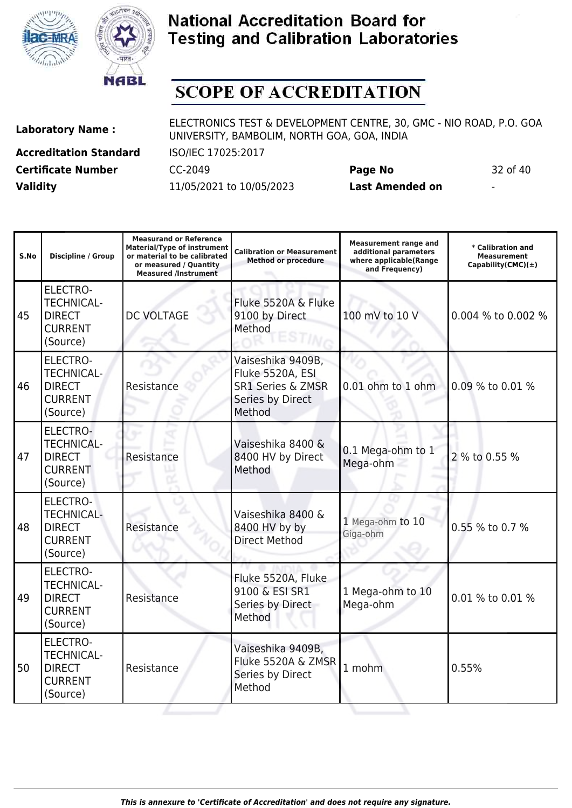



# **SCOPE OF ACCREDITATION**

**Accreditation Standard** ISO/IEC 17025:2017 **Certificate Number** CC-2049 **Page No** 32 of 40 **Validity** 11/05/2021 to 10/05/2023 **Last Amended on** -

| S.No | <b>Discipline / Group</b>                                                           | <b>Measurand or Reference</b><br><b>Material/Type of instrument</b><br>or material to be calibrated<br>or measured / Quantity<br><b>Measured /Instrument</b> | <b>Calibration or Measurement</b><br><b>Method or procedure</b>                                     | <b>Measurement range and</b><br>additional parameters<br>where applicable(Range<br>and Frequency) | * Calibration and<br><b>Measurement</b><br>Capability(CMC) $(\pm)$ |
|------|-------------------------------------------------------------------------------------|--------------------------------------------------------------------------------------------------------------------------------------------------------------|-----------------------------------------------------------------------------------------------------|---------------------------------------------------------------------------------------------------|--------------------------------------------------------------------|
| 45   | ELECTRO-<br><b>TECHNICAL-</b><br><b>DIRECT</b><br><b>CURRENT</b><br>(Source)        | <b>DC VOLTAGE</b>                                                                                                                                            | Fluke 5520A & Fluke<br>9100 by Direct<br>Method                                                     | 100 mV to 10 V                                                                                    | 0.004 % to 0.002 %                                                 |
| 46   | ELECTRO-<br><b>TECHNICAL-</b><br><b>DIRECT</b><br><b>CURRENT</b><br>(Source)        | Resistance                                                                                                                                                   | Vaiseshika 9409B,<br>Fluke 5520A, ESI<br><b>SR1 Series &amp; ZMSR</b><br>Series by Direct<br>Method | 0.01 ohm to 1 ohm                                                                                 | 0.09 % to 0.01 %                                                   |
| 47   | ELECTRO-<br><b>TECHNICAL-</b><br><b>DIRECT</b><br><b>CURRENT</b><br>(Source)        | Resistance                                                                                                                                                   | Vaiseshika 8400 &<br>8400 HV by Direct<br>Method                                                    | 0.1 Mega-ohm to 1<br>Mega-ohm                                                                     | 2 % to 0.55 %                                                      |
| 48   | <b>ELECTRO-</b><br><b>TECHNICAL-</b><br><b>DIRECT</b><br><b>CURRENT</b><br>(Source) | Resistance                                                                                                                                                   | Vaiseshika 8400 &<br>8400 HV by by<br><b>Direct Method</b>                                          | 1 Mega-ohm to 10<br>Giga-ohm                                                                      | 0.55 % to 0.7 %                                                    |
| 49   | ELECTRO-<br><b>TECHNICAL-</b><br><b>DIRECT</b><br><b>CURRENT</b><br>(Source)        | Resistance                                                                                                                                                   | Fluke 5520A, Fluke<br>9100 & ESI SR1<br>Series by Direct<br>Method                                  | 1 Mega-ohm to 10<br>Mega-ohm                                                                      | 0.01 % to 0.01 %                                                   |
| 50   | <b>ELECTRO-</b><br><b>TECHNICAL-</b><br><b>DIRECT</b><br><b>CURRENT</b><br>(Source) | Resistance                                                                                                                                                   | Vaiseshika 9409B,<br>Fluke 5520A & ZMSR<br>Series by Direct<br>Method                               | 1 mohm                                                                                            | 0.55%                                                              |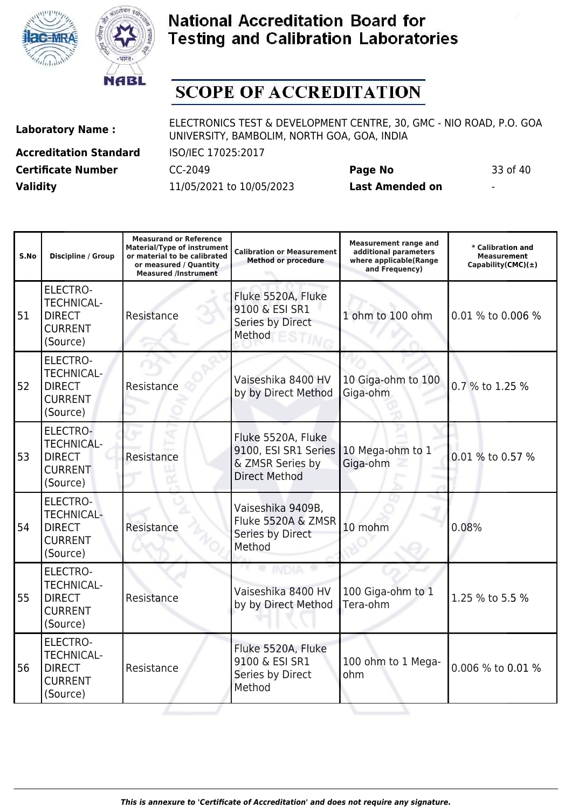



# **SCOPE OF ACCREDITATION**

51

52

53

54

55

56

(Source)

ELECTRO-TECHNICAL-DIRECT CURRENT (Source)

ELECTRO-TECHNICAL-DIRECT CURRENT (Source)

Resistance

**Accreditation Standard** ISO/IEC 17025:2017 **Certificate Number** CC-2049 **Page No** 33 of 40 **Validity** 11/05/2021 to 10/05/2023 **Last Amended on** -

**Laboratory Name :** ELECTRONICS TEST & DEVELOPMENT CENTRE, 30, GMC - NIO ROAD, P.O. GOA UNIVERSITY, BAMBOLIM, NORTH GOA, GOA, INDIA

Resistance Vaiseshika 8400 HV

**Measurand or Reference**

**Measurement range and**

100 Giga-ohm to 1

100 ohm to 1 Mega-

Tera-ohm 1.25 % to 5.5 %

ohm  $100 \text{ cm}$   $\mu$  mega-  $0.006 \text{ % to } 0.01 \text{ %}$ 

| S.No | <b>Discipline / Group</b>                                                    | <b>Material/Type of instrument</b><br>or material to be calibrated<br>or measured / Quantity<br><b>Measured /Instrument</b> | <b>Calibration or Measurement</b><br><b>Method or procedure</b>                        | <b>Measurement range and</b><br>additional parameters<br>where applicable(Range<br>and Frequency) | * Calibration and<br><b>Measurement</b><br>Capability(CMC) $(\pm)$ |
|------|------------------------------------------------------------------------------|-----------------------------------------------------------------------------------------------------------------------------|----------------------------------------------------------------------------------------|---------------------------------------------------------------------------------------------------|--------------------------------------------------------------------|
| 51   | ELECTRO-<br><b>TECHNICAL-</b><br><b>DIRECT</b><br><b>CURRENT</b><br>(Source) | Resistance                                                                                                                  | Fluke 5520A, Fluke<br>9100 & ESI SR1<br>Series by Direct<br>Method                     | 1 ohm to 100 ohm                                                                                  | 0.01 % to 0.006 %                                                  |
| 52   | ELECTRO-<br><b>TECHNICAL-</b><br><b>DIRECT</b><br><b>CURRENT</b><br>(Source) | Resistance                                                                                                                  | Vaiseshika 8400 HV<br>by by Direct Method                                              | 10 Giga-ohm to 100<br>Giga-ohm                                                                    | 0.7 % to 1.25 %                                                    |
| 53   | ELECTRO-<br><b>TECHNICAL-</b><br><b>DIRECT</b><br><b>CURRENT</b><br>(Source) | Resistance                                                                                                                  | Fluke 5520A, Fluke<br>9100, ESI SR1 Series<br>& ZMSR Series by<br><b>Direct Method</b> | 10 Mega-ohm to 1<br>Giga-ohm                                                                      | 0.01 % to 0.57 %                                                   |
| 54   | <b>ELECTRO-</b><br><b>TECHNICAL-</b><br><b>DIRECT</b><br><b>CURRENT</b>      | Resistance                                                                                                                  | Vaiseshika 9409B,<br>Fluke 5520A & ZMSR<br>Series by Direct<br>Method                  | 10 mohm                                                                                           | 0.08%                                                              |

by by Direct Method

Fluke 5520A, Fluke 9100 & ESI SR1 Series by Direct

Method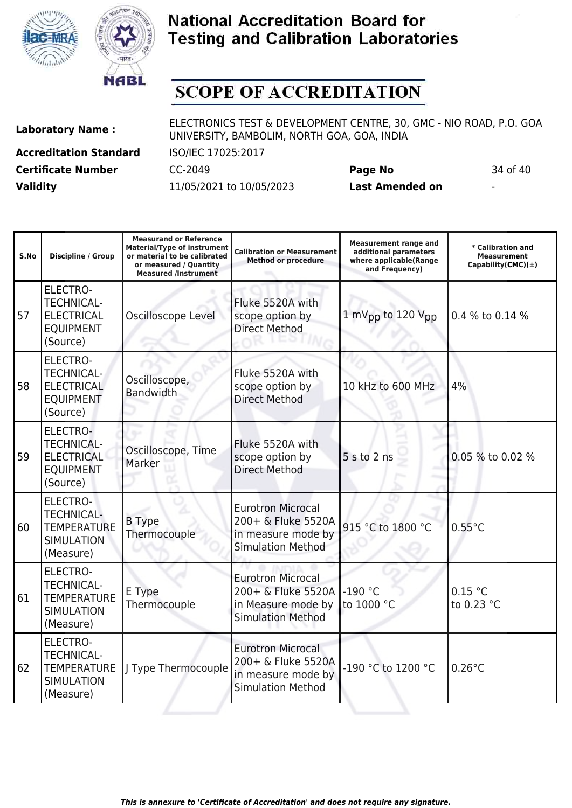



# **SCOPE OF ACCREDITATION**

**Accreditation Standard** ISO/IEC 17025:2017 **Certificate Number** CC-2049 **Page No** 34 of 40 **Validity** 11/05/2021 to 10/05/2023 **Last Amended on** -

| S.No | <b>Discipline / Group</b>                                                                    | <b>Measurand or Reference</b><br><b>Material/Type of instrument</b><br>or material to be calibrated<br>or measured / Quantity<br><b>Measured /Instrument</b> | <b>Calibration or Measurement</b><br><b>Method or procedure</b>                                  | <b>Measurement range and</b><br>additional parameters<br>where applicable(Range<br>and Frequency) | * Calibration and<br><b>Measurement</b><br>Capability(CMC) $(\pm)$ |
|------|----------------------------------------------------------------------------------------------|--------------------------------------------------------------------------------------------------------------------------------------------------------------|--------------------------------------------------------------------------------------------------|---------------------------------------------------------------------------------------------------|--------------------------------------------------------------------|
| 57   | <b>ELECTRO-</b><br><b>TECHNICAL-</b><br><b>ELECTRICAL</b><br><b>EQUIPMENT</b><br>(Source)    | Oscilloscope Level                                                                                                                                           | Fluke 5520A with<br>scope option by<br><b>Direct Method</b>                                      | 1 mV <sub>pp</sub> to 120 V <sub>pp</sub>                                                         | 0.4 % to 0.14 %                                                    |
| 58   | <b>ELECTRO-</b><br><b>TECHNICAL-</b><br><b>ELECTRICAL</b><br><b>EQUIPMENT</b><br>(Source)    | Oscilloscope,<br><b>Bandwidth</b>                                                                                                                            | Fluke 5520A with<br>scope option by<br><b>Direct Method</b>                                      | 10 kHz to 600 MHz                                                                                 | 4%                                                                 |
| 59   | ELECTRO-<br><b>TECHNICAL-</b><br><b>ELECTRICAL</b><br><b>EQUIPMENT</b><br>(Source)           | Oscilloscope, Time<br>Marker                                                                                                                                 | Fluke 5520A with<br>scope option by<br><b>Direct Method</b>                                      | 5 s to 2 ns                                                                                       | 0.05 % to 0.02 %                                                   |
| 60   | <b>ELECTRO-</b><br><b>TECHNICAL-</b><br><b>TEMPERATURE</b><br><b>SIMULATION</b><br>(Measure) | <b>B</b> Type<br>Thermocouple                                                                                                                                | <b>Eurotron Microcal</b><br>200+ & Fluke 5520A<br>in measure mode by<br><b>Simulation Method</b> | 915 °C to 1800 °C                                                                                 | $0.55^{\circ}$ C                                                   |
| 61   | <b>ELECTRO-</b><br><b>TECHNICAL-</b><br><b>TEMPERATURE</b><br><b>SIMULATION</b><br>(Measure) | E Type<br>Thermocouple                                                                                                                                       | <b>Eurotron Microcal</b><br>200+ & Fluke 5520A<br>in Measure mode by<br><b>Simulation Method</b> | $-190 °C$<br>to 1000 °C                                                                           | 0.15 °C<br>to 0.23 °C                                              |
| 62   | <b>ELECTRO-</b><br><b>TECHNICAL-</b><br><b>TEMPERATURE</b><br><b>SIMULATION</b><br>(Measure) | J Type Thermocouple                                                                                                                                          | <b>Eurotron Microcal</b><br>200+ & Fluke 5520A<br>in measure mode by<br><b>Simulation Method</b> | -190 °C to 1200 °C                                                                                | $0.26^{\circ}$ C                                                   |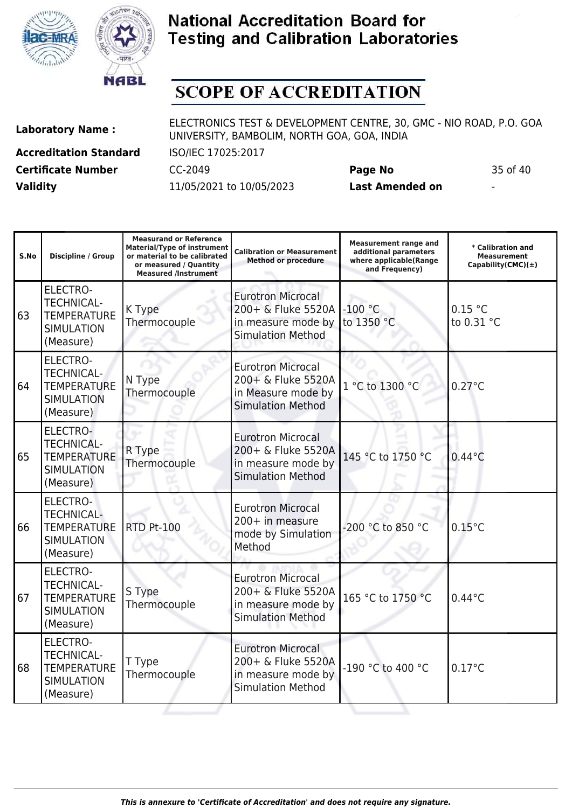



## **SCOPE OF ACCREDITATION**

**Laboratory Name :** ELECTRONICS TEST & DEVELOPMENT CENTRE, 30, GMC - NIO ROAD, P.O. GOA UNIVERSITY, BAMBOLIM, NORTH GOA, GOA, INDIA

**Accreditation Standard** ISO/IEC 17025:2017 **Certificate Number** CC-2049 **Page No** 35 of 40 **Validity** 11/05/2021 to 10/05/2023 **Last Amended on** -

**Measurand or Reference**

**Measurement range and**

| S.No | Discipline / Group                                                                           | <b>Material/Type of instrument</b><br>or material to be calibrated<br>or measured / Quantity<br><b>Measured /Instrument</b> | <b>Calibration or Measurement</b><br><b>Method or procedure</b>                                  | additional parameters<br>where applicable(Range<br>and Frequency) | * Calibration and<br><b>Measurement</b><br>Capability(CMC) $(\pm)$ |
|------|----------------------------------------------------------------------------------------------|-----------------------------------------------------------------------------------------------------------------------------|--------------------------------------------------------------------------------------------------|-------------------------------------------------------------------|--------------------------------------------------------------------|
| 63   | ELECTRO-<br><b>TECHNICAL-</b><br><b>TEMPERATURE</b><br><b>SIMULATION</b><br>(Measure)        | K Type<br>Thermocouple                                                                                                      | <b>Eurotron Microcal</b><br>200+ & Fluke 5520A<br>in measure mode by<br><b>Simulation Method</b> | $-100$ °C<br>to 1350 °C                                           | 0.15 °C<br>to 0.31 °C                                              |
| 64   | <b>ELECTRO-</b><br><b>TECHNICAL-</b><br><b>TEMPERATURE</b><br><b>SIMULATION</b><br>(Measure) | N Type<br>Thermocouple                                                                                                      | <b>Eurotron Microcal</b><br>200+ & Fluke 5520A<br>in Measure mode by<br><b>Simulation Method</b> | 1 °C to 1300 °C                                                   | $0.27^{\circ}$ C                                                   |
| 65   | ELECTRO-<br><b>TECHNICAL-</b><br><b>TEMPERATURE</b><br><b>SIMULATION</b><br>(Measure)        | R Type<br>Thermocouple                                                                                                      | <b>Eurotron Microcal</b><br>200+ & Fluke 5520A<br>in measure mode by<br><b>Simulation Method</b> | 145 °C to 1750 °C                                                 | $0.44^{\circ}$ C                                                   |
| 66   | ELECTRO-<br><b>TECHNICAL-</b><br><b>TEMPERATURE</b><br><b>SIMULATION</b><br>(Measure)        | <b>RTD Pt-100</b>                                                                                                           | <b>Eurotron Microcal</b><br>200+ in measure<br>mode by Simulation<br>Method                      | -200 °C to 850 °C                                                 | $0.15^{\circ}$ C                                                   |
| 67   | ELECTRO-<br><b>TECHNICAL-</b><br><b>TEMPERATURE</b><br><b>SIMULATION</b><br>(Measure)        | S Type<br>Thermocouple                                                                                                      | <b>Eurotron Microcal</b><br>200+ & Fluke 5520A<br>in measure mode by<br><b>Simulation Method</b> | 165 °C to 1750 °C                                                 | $0.44^{\circ}$ C                                                   |
| 68   | ELECTRO-<br><b>TECHNICAL-</b><br><b>TEMPERATURE</b><br><b>SIMULATION</b><br>(Measure)        | T Type<br>Thermocouple                                                                                                      | <b>Eurotron Microcal</b><br>200+ & Fluke 5520A<br>in measure mode by<br><b>Simulation Method</b> | -190 °C to 400 °C                                                 | $0.17^{\circ}$ C                                                   |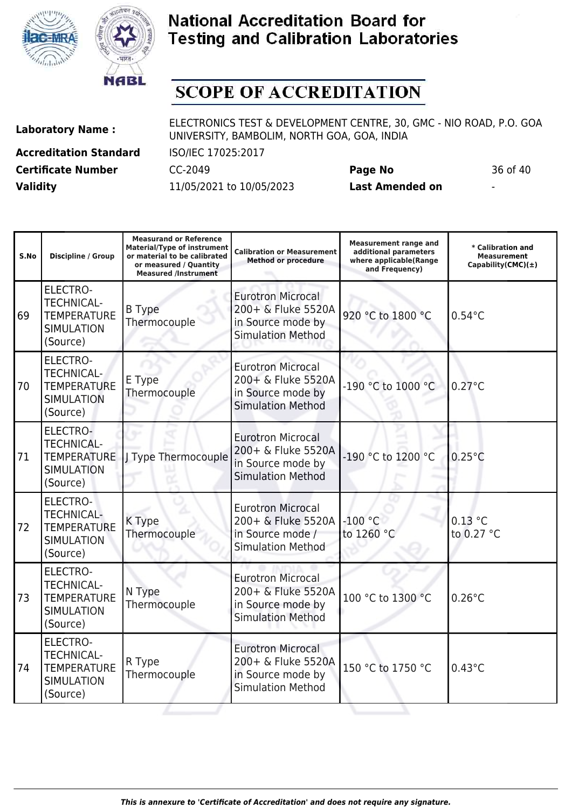



# **SCOPE OF ACCREDITATION**

Τ

**Laboratory Name :** ELECTRONICS TEST & DEVELOPMENT CENTRE, 30, GMC - NIO ROAD, P.O. GOA UNIVERSITY, BAMBOLIM, NORTH GOA, GOA, INDIA

**Accreditation Standard** ISO/IEC 17025:2017 **Certificate Number** CC-2049 **Page No** 36 of 40 **Validity** 11/05/2021 to 10/05/2023 **Last Amended on** -

**Measurand or Reference**

H

| S.No | <b>Discipline / Group</b>                                                                   | <b>Measurand or Reference</b><br><b>Material/Type of instrument</b><br>or material to be calibrated<br>or measured / Quantity<br><b>Measured /Instrument</b> | <b>Calibration or Measurement</b><br><b>Method or procedure</b>                                 | <b>Measurement range and</b><br>additional parameters<br>where applicable(Range<br>and Frequency) | * Calibration and<br><b>Measurement</b><br>Capability(CMC) $(\pm)$ |
|------|---------------------------------------------------------------------------------------------|--------------------------------------------------------------------------------------------------------------------------------------------------------------|-------------------------------------------------------------------------------------------------|---------------------------------------------------------------------------------------------------|--------------------------------------------------------------------|
| 69   | ELECTRO-<br><b>TECHNICAL-</b><br><b>TEMPERATURE</b><br><b>SIMULATION</b><br>(Source)        | <b>B</b> Type<br>Thermocouple                                                                                                                                | <b>Eurotron Microcal</b><br>200+ & Fluke 5520A<br>in Source mode by<br><b>Simulation Method</b> | 920 °C to 1800 °C                                                                                 | $0.54$ °C                                                          |
| 70   | <b>ELECTRO-</b><br><b>TECHNICAL-</b><br><b>TEMPERATURE</b><br><b>SIMULATION</b><br>(Source) | E Type<br>Thermocouple                                                                                                                                       | <b>Eurotron Microcal</b><br>200+ & Fluke 5520A<br>in Source mode by<br><b>Simulation Method</b> | -190 °C to 1000 °C                                                                                | $0.27^{\circ}$ C                                                   |
| 71   | ELECTRO-<br><b>TECHNICAL-</b><br><b>TEMPERATURE</b><br><b>SIMULATION</b><br>(Source)        | J Type Thermocouple                                                                                                                                          | <b>Eurotron Microcal</b><br>200+ & Fluke 5520A<br>in Source mode by<br><b>Simulation Method</b> | -190 °C to 1200 °C                                                                                | $0.25^{\circ}$ C                                                   |
| 72   | <b>ELECTRO-</b><br><b>TECHNICAL-</b><br><b>TEMPERATURE</b><br><b>SIMULATION</b><br>(Source) | K Type<br>Thermocouple                                                                                                                                       | <b>Eurotron Microcal</b><br>200+ & Fluke 5520A<br>in Source mode /<br><b>Simulation Method</b>  | $-100$ °C<br>to 1260 °C                                                                           | $0.13$ °C<br>to 0.27 °C                                            |
| 73   | <b>ELECTRO-</b><br><b>TECHNICAL-</b><br><b>TEMPERATURE</b><br><b>SIMULATION</b><br>(Source) | N Type<br>Thermocouple                                                                                                                                       | <b>Eurotron Microcal</b><br>200+ & Fluke 5520A<br>in Source mode by<br><b>Simulation Method</b> | 100 °C to 1300 °C                                                                                 | $0.26^{\circ}$ C                                                   |
| 74   | ELECTRO-<br><b>TECHNICAL-</b><br><b>TEMPERATURE</b><br><b>SIMULATION</b><br>(Source)        | R Type<br>Thermocouple                                                                                                                                       | <b>Eurotron Microcal</b><br>200+ & Fluke 5520A<br>in Source mode by<br><b>Simulation Method</b> | 150 °C to 1750 °C                                                                                 | $0.43^{\circ}$ C                                                   |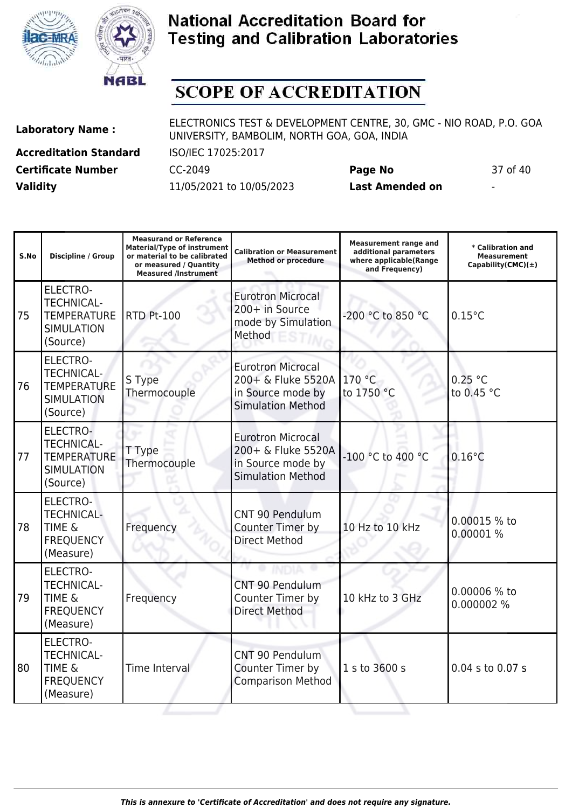



## **SCOPE OF ACCREDITATION**

**Laboratory Name :** ELECTRONICS TEST & DEVELOPMENT CENTRE, 30, GMC - NIO ROAD, P.O. GOA UNIVERSITY, BAMBOLIM, NORTH GOA, GOA, INDIA

**Accreditation Standard** ISO/IEC 17025:2017 **Certificate Number** CC-2049 **Page No** 37 of 40 **Validity** 11/05/2021 to 10/05/2023 **Last Amended on** -

| S.No | Discipline / Group                                                                   | <b>Measurand or Reference</b><br><b>Material/Type of instrument</b><br>or material to be calibrated<br>or measured / Quantity<br><b>Measured /Instrument</b> | <b>Calibration or Measurement</b><br><b>Method or procedure</b>                                 | <b>Measurement range and</b><br>additional parameters<br>where applicable(Range<br>and Frequency) | * Calibration and<br><b>Measurement</b><br>Capability(CMC) $(\pm)$ |
|------|--------------------------------------------------------------------------------------|--------------------------------------------------------------------------------------------------------------------------------------------------------------|-------------------------------------------------------------------------------------------------|---------------------------------------------------------------------------------------------------|--------------------------------------------------------------------|
| 75   | ELECTRO-<br><b>TECHNICAL-</b><br><b>TEMPERATURE</b><br><b>SIMULATION</b><br>(Source) | <b>RTD Pt-100</b>                                                                                                                                            | <b>Eurotron Microcal</b><br>200+ in Source<br>mode by Simulation<br>Method                      | -200 °C to 850 °C                                                                                 | $0.15^{\circ}$ C                                                   |
| 76   | ELECTRO-<br><b>TECHNICAL-</b><br><b>TEMPERATURE</b><br><b>SIMULATION</b><br>(Source) | S Type<br>Thermocouple                                                                                                                                       | <b>Eurotron Microcal</b><br>200+ & Fluke 5520A<br>in Source mode by<br><b>Simulation Method</b> | 170 °C<br>to 1750 °C                                                                              | 0.25 °C<br>to 0.45 °C                                              |
| 77   | ELECTRO-<br><b>TECHNICAL-</b><br><b>TEMPERATURE</b><br><b>SIMULATION</b><br>(Source) | T Type<br>Thermocouple                                                                                                                                       | <b>Eurotron Microcal</b><br>200+ & Fluke 5520A<br>in Source mode by<br><b>Simulation Method</b> | -100 °C to 400 °C                                                                                 | $0.16^{\circ}$ C                                                   |
| 78   | ELECTRO-<br><b>TECHNICAL-</b><br><b>TIME &amp;</b><br><b>FREQUENCY</b><br>(Measure)  | Frequency                                                                                                                                                    | CNT 90 Pendulum<br>Counter Timer by<br><b>Direct Method</b>                                     | 10 Hz to 10 kHz                                                                                   | 0.00015 % to<br>0.00001 %                                          |
| 79   | ELECTRO-<br><b>TECHNICAL-</b><br><b>TIME &amp;</b><br><b>FREQUENCY</b><br>(Measure)  | Frequency                                                                                                                                                    | CNT 90 Pendulum<br>Counter Timer by<br><b>Direct Method</b>                                     | 10 kHz to 3 GHz                                                                                   | 0.00006 % to<br>0.000002 %                                         |
| 80   | ELECTRO-<br><b>TECHNICAL-</b><br><b>TIME &amp;</b><br><b>FREQUENCY</b><br>(Measure)  | Time Interval                                                                                                                                                | CNT 90 Pendulum<br>Counter Timer by<br><b>Comparison Method</b>                                 | 1 s to 3600 s                                                                                     | 0.04 s to 0.07 s                                                   |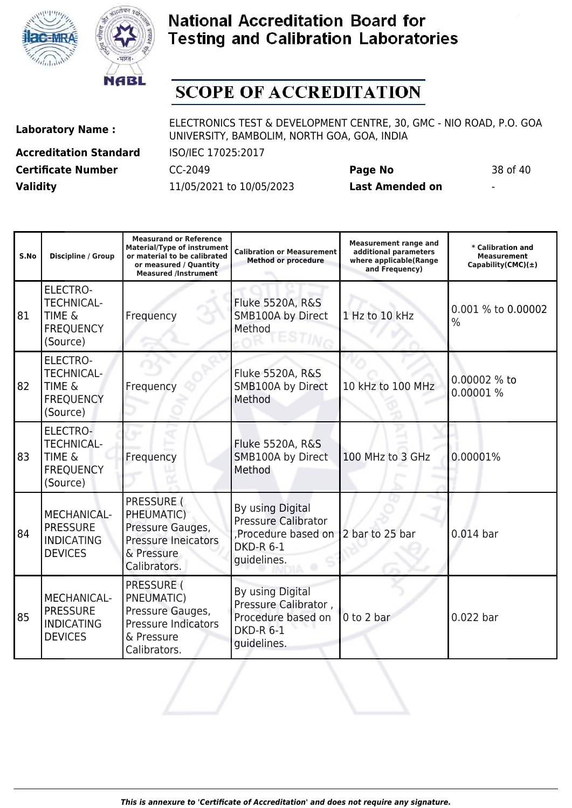



# **SCOPE OF ACCREDITATION**

**Accreditation Standard** ISO/IEC 17025:2017 **Certificate Number** CC-2049 **Page No** 38 of 40 **Validity** 11/05/2021 to 10/05/2023 **Last Amended on** -

| S.No | Discipline / Group                                                                        | <b>Measurand or Reference</b><br><b>Material/Type of instrument</b><br>or material to be calibrated<br>or measured / Quantity<br><b>Measured /Instrument</b> | <b>Calibration or Measurement</b><br><b>Method or procedure</b>                                         | <b>Measurement range and</b><br>additional parameters<br>where applicable(Range<br>and Frequency) | * Calibration and<br>Measurement<br>Capability(CMC) $(\pm)$ |
|------|-------------------------------------------------------------------------------------------|--------------------------------------------------------------------------------------------------------------------------------------------------------------|---------------------------------------------------------------------------------------------------------|---------------------------------------------------------------------------------------------------|-------------------------------------------------------------|
| 81   | <b>ELECTRO-</b><br><b>TECHNICAL-</b><br><b>TIME &amp;</b><br><b>FREQUENCY</b><br>(Source) | Frequency                                                                                                                                                    | <b>Fluke 5520A, R&amp;S</b><br>SMB100A by Direct<br>Method                                              | 1 Hz to 10 kHz                                                                                    | 0.001 % to 0.00002<br>$\frac{0}{0}$                         |
| 82   | <b>ELECTRO-</b><br><b>TECHNICAL-</b><br><b>TIME &amp;</b><br><b>FREQUENCY</b><br>(Source) | Frequency                                                                                                                                                    | Fluke 5520A, R&S<br>SMB100A by Direct<br>Method                                                         | 10 kHz to 100 MHz                                                                                 | 0.00002 % to<br>0.00001 %                                   |
| 83   | ELECTRO-<br><b>TECHNICAL-</b><br><b>TIME &amp;</b><br><b>FREQUENCY</b><br>(Source)        | Frequency                                                                                                                                                    | <b>Fluke 5520A, R&amp;S</b><br>SMB100A by Direct<br>Method                                              | 100 MHz to 3 GHz                                                                                  | 0.00001%                                                    |
| 84   | MECHANICAL-<br><b>PRESSURE</b><br><b>INDICATING</b><br><b>DEVICES</b>                     | PRESSURE (<br>PHEUMATIC)<br>Pressure Gauges,<br><b>Pressure Ineicators</b><br>& Pressure<br>Calibrators.                                                     | By using Digital<br><b>Pressure Calibrator</b><br>Procedure based on<br><b>DKD-R 6-1</b><br>guidelines. | 2 bar to 25 bar                                                                                   | $0.014$ bar                                                 |
| 85   | MECHANICAL-<br><b>PRESSURE</b><br><b>INDICATING</b><br><b>DEVICES</b>                     | <b>PRESSURE (</b><br>PNEUMATIC)<br>Pressure Gauges,<br><b>Pressure Indicators</b><br>& Pressure<br>Calibrators.                                              | By using Digital<br>Pressure Calibrator,<br>Procedure based on<br><b>DKD-R 6-1</b><br>guidelines.       | $0$ to $2$ bar                                                                                    | $0.022$ bar                                                 |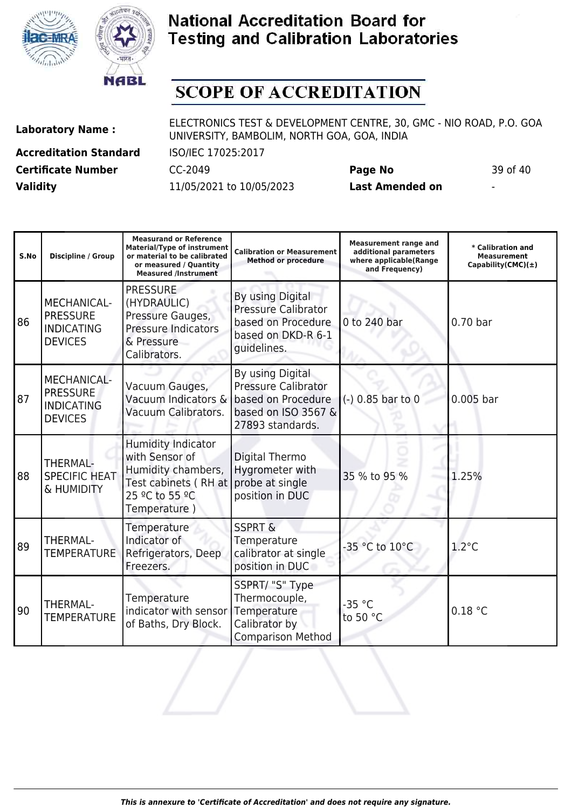



# **SCOPE OF ACCREDITATION**

**Laboratory Name :** ELECTRONICS TEST & DEVELOPMENT CENTRE, 30, GMC - NIO ROAD, P.O. GOA UNIVERSITY, BAMBOLIM, NORTH GOA, GOA, INDIA

**Accreditation Standard** ISO/IEC 17025:2017 **Certificate Number** CC-2049 **Page No** 39 of 40 **Validity** 11/05/2021 to 10/05/2023 **Last Amended on** -

| S.No | Discipline / Group                                                           | <b>Measurand or Reference</b><br><b>Material/Type of instrument</b><br>or material to be calibrated<br>or measured / Quantity<br><b>Measured /Instrument</b> | <b>Calibration or Measurement</b><br><b>Method or procedure</b>                                                 | <b>Measurement range and</b><br>additional parameters<br>where applicable(Range<br>and Frequency) | * Calibration and<br><b>Measurement</b><br>Capability(CMC) $(\pm)$ |
|------|------------------------------------------------------------------------------|--------------------------------------------------------------------------------------------------------------------------------------------------------------|-----------------------------------------------------------------------------------------------------------------|---------------------------------------------------------------------------------------------------|--------------------------------------------------------------------|
| 86   | MECHANICAL-<br><b>PRESSURE</b><br><b>INDICATING</b><br><b>DEVICES</b>        | <b>PRESSURE</b><br>(HYDRAULIC)<br>Pressure Gauges,<br><b>Pressure Indicators</b><br>& Pressure<br>Calibrators.                                               | By using Digital<br><b>Pressure Calibrator</b><br>based on Procedure<br>based on DKD-R 6-1<br>quidelines.       | 0 to 240 bar                                                                                      | $0.70$ bar                                                         |
| 87   | <b>MECHANICAL-</b><br><b>PRESSURE</b><br><b>INDICATING</b><br><b>DEVICES</b> | Vacuum Gauges,<br>Vacuum Indicators &<br>Vacuum Calibrators.                                                                                                 | By using Digital<br><b>Pressure Calibrator</b><br>based on Procedure<br>based on ISO 3567 &<br>27893 standards. | (-) 0.85 bar to 0                                                                                 | $0.005$ bar                                                        |
| 88   | THERMAL-<br><b>SPECIFIC HEAT</b><br>& HUMIDITY                               | <b>Humidity Indicator</b><br>with Sensor of<br>Humidity chambers,<br>Test cabinets (RH at<br>25 °C to 55 °C<br>Temperature)                                  | Digital Thermo<br>Hygrometer with<br>probe at single<br>position in DUC                                         | 35 % to 95 %                                                                                      | 1.25%                                                              |
| 89   | THERMAL-<br>TEMPERATURE                                                      | Temperature<br>Indicator of<br>Refrigerators, Deep<br>Freezers.                                                                                              | <b>SSPRT &amp;</b><br>Temperature<br>calibrator at single<br>position in DUC                                    | -35 °C to 10°C                                                                                    | $1.2^{\circ}$ C                                                    |
| 90   | THERMAL-<br><b>TEMPERATURE</b>                                               | Temperature<br>indicator with sensor<br>of Baths, Dry Block.                                                                                                 | SSPRT/ "S" Type<br>Thermocouple,<br>Temperature<br>Calibrator by<br><b>Comparison Method</b>                    | $-35 °C$<br>to 50 °C                                                                              | 0.18 °C                                                            |